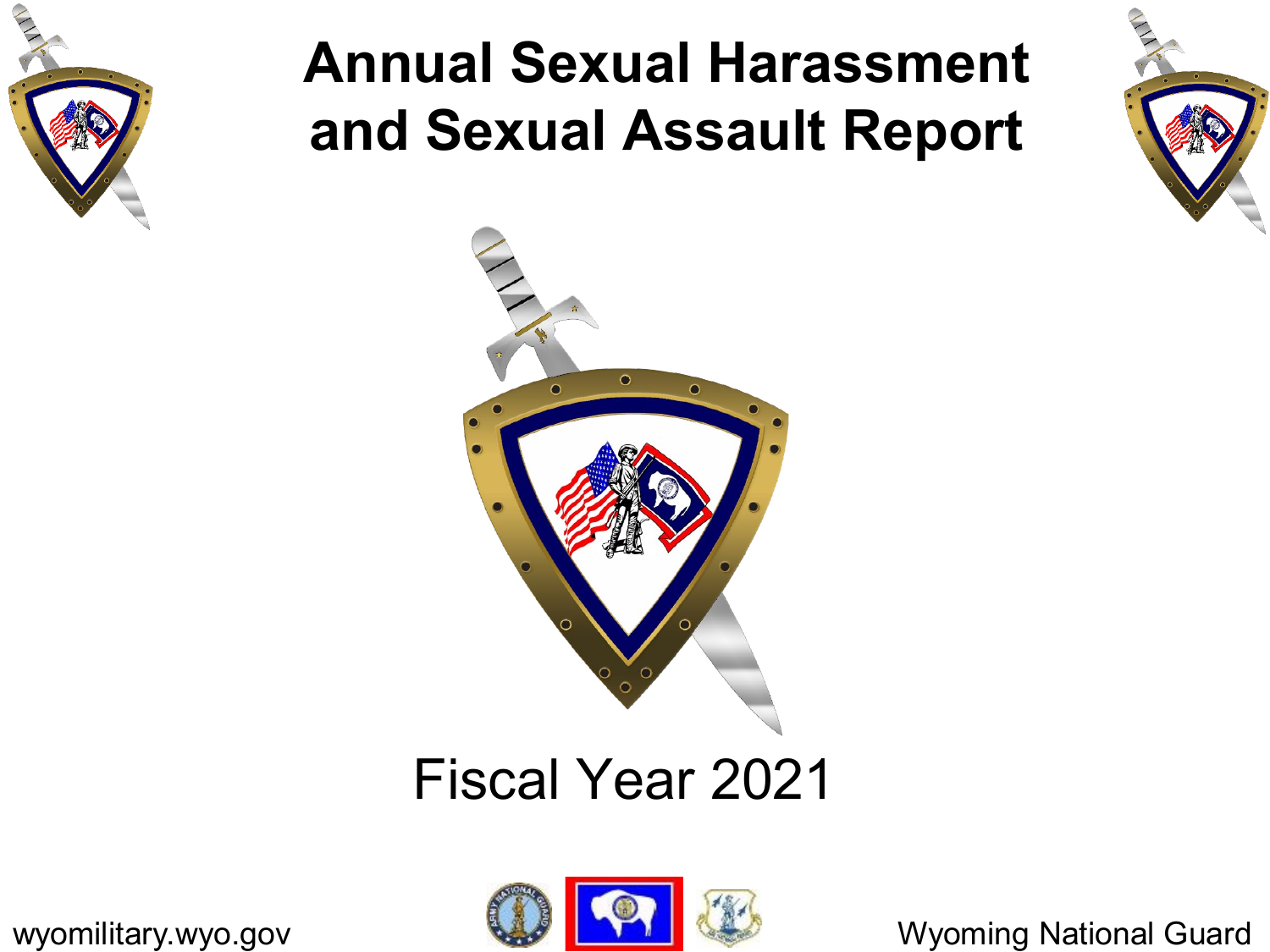

### **Annual Sexual Harassment and Sexual Assault Report**



#### Fiscal Year 2021

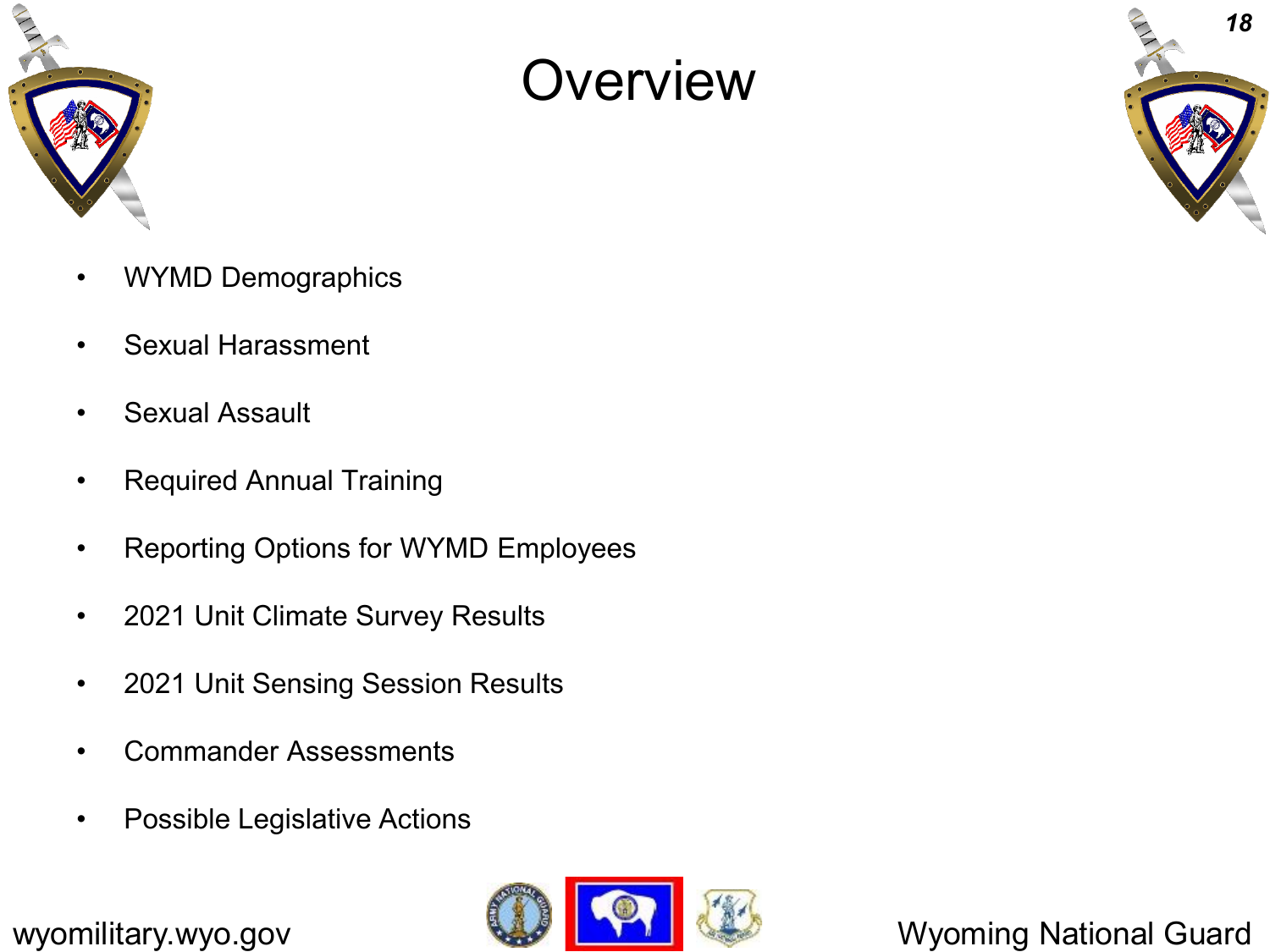

#### **Overview**



- WYMD Demographics
- Sexual Harassment
- Sexual Assault
- Required Annual Training
- Reporting Options for WYMD Employees
- 2021 Unit Climate Survey Results
- 2021 Unit Sensing Session Results
- Commander Assessments
- Possible Legislative Actions

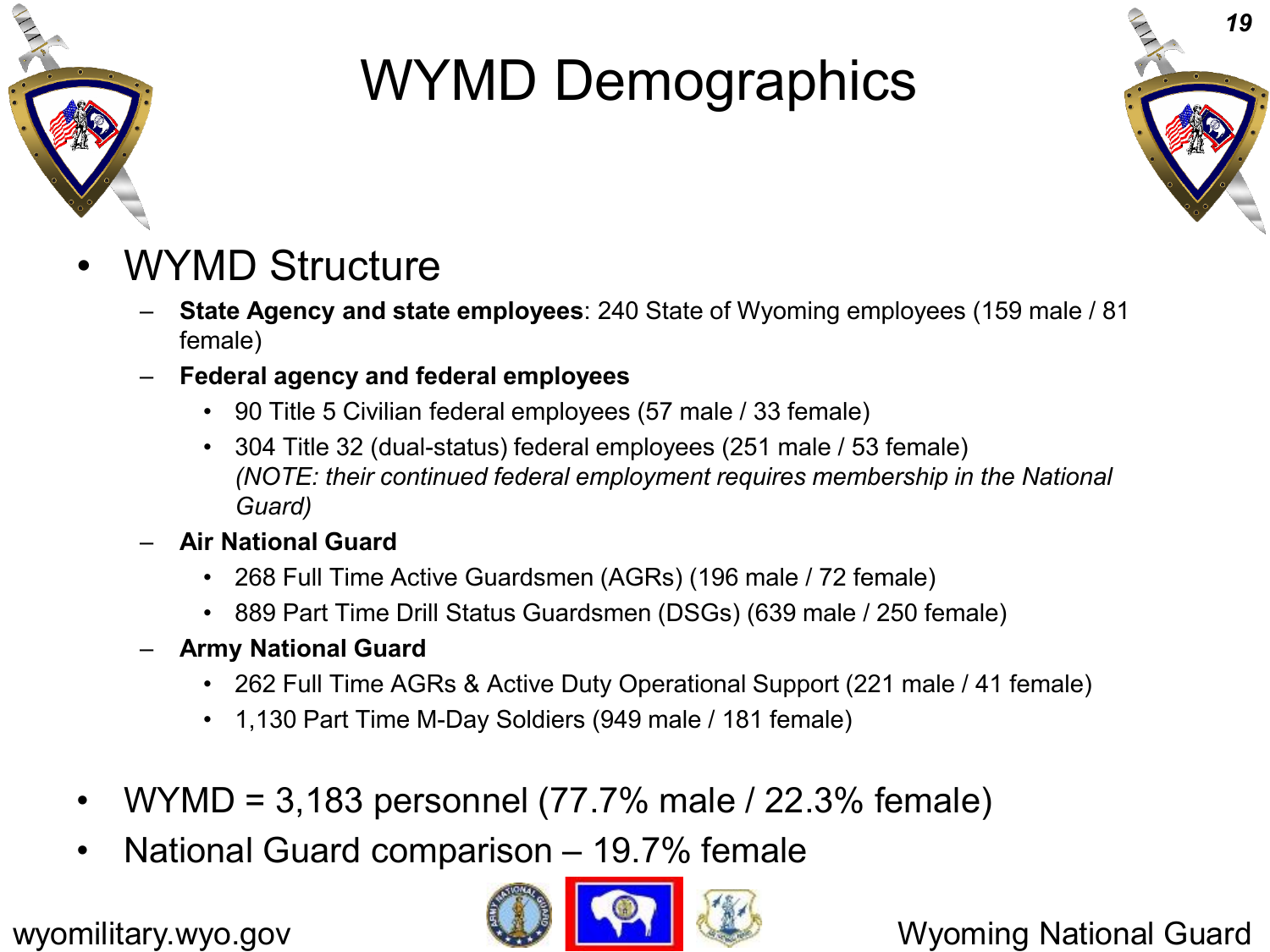

# WYMD Demographics



- WYMD Structure
	- **State Agency and state employees**: 240 State of Wyoming employees (159 male / 81 female)
	- **Federal agency and federal employees**
		- 90 Title 5 Civilian federal employees (57 male / 33 female)
		- 304 Title 32 (dual-status) federal employees (251 male / 53 female) *(NOTE: their continued federal employment requires membership in the National Guard)*
	- **Air National Guard**
		- 268 Full Time Active Guardsmen (AGRs) (196 male / 72 female)
		- 889 Part Time Drill Status Guardsmen (DSGs) (639 male / 250 female)
	- **Army National Guard**
		- 262 Full Time AGRs & Active Duty Operational Support (221 male / 41 female)
		- 1,130 Part Time M-Day Soldiers (949 male / 181 female)
- WYMD = 3,183 personnel  $(77.7\%$  male  $/$  22.3% female)
- National Guard comparison 19.7% female

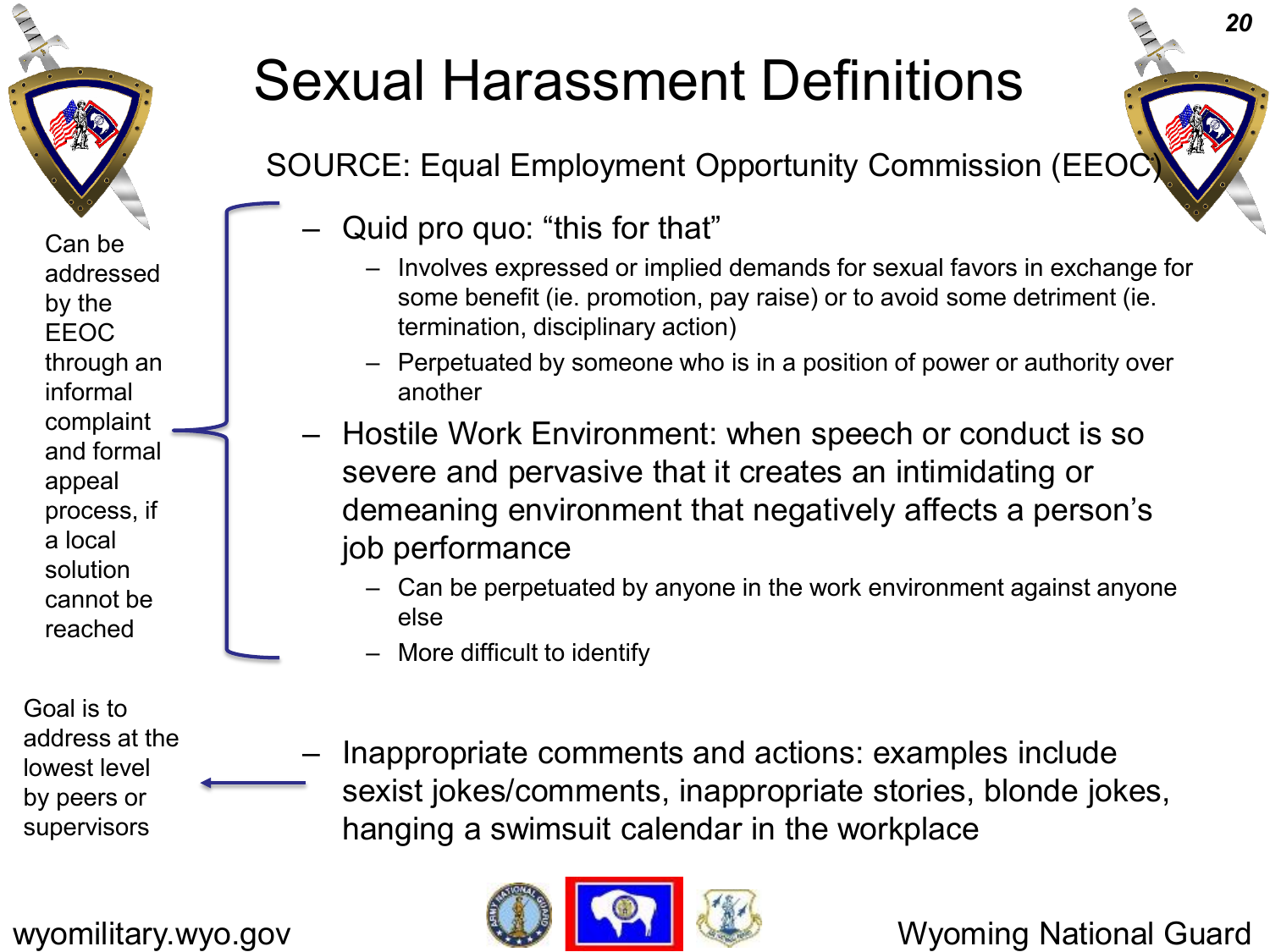

Can be addressed by the EEOC through an informal complaint and formal appeal process, if a local solution cannot be reached

Goal is to address at the lowest level by peers or supervisors

#### Sexual Harassment Definitions

SOURCE: Equal Employment Opportunity Commission (EEOC)

- Quid pro quo: "this for that"
	- Involves expressed or implied demands for sexual favors in exchange for some benefit (ie. promotion, pay raise) or to avoid some detriment (ie. termination, disciplinary action)
	- Perpetuated by someone who is in a position of power or authority over another
- Hostile Work Environment: when speech or conduct is so severe and pervasive that it creates an intimidating or demeaning environment that negatively affects a person's job performance
	- Can be perpetuated by anyone in the work environment against anyone else
	- More difficult to identify
	- Inappropriate comments and actions: examples include sexist jokes/comments, inappropriate stories, blonde jokes, hanging a swimsuit calendar in the workplace

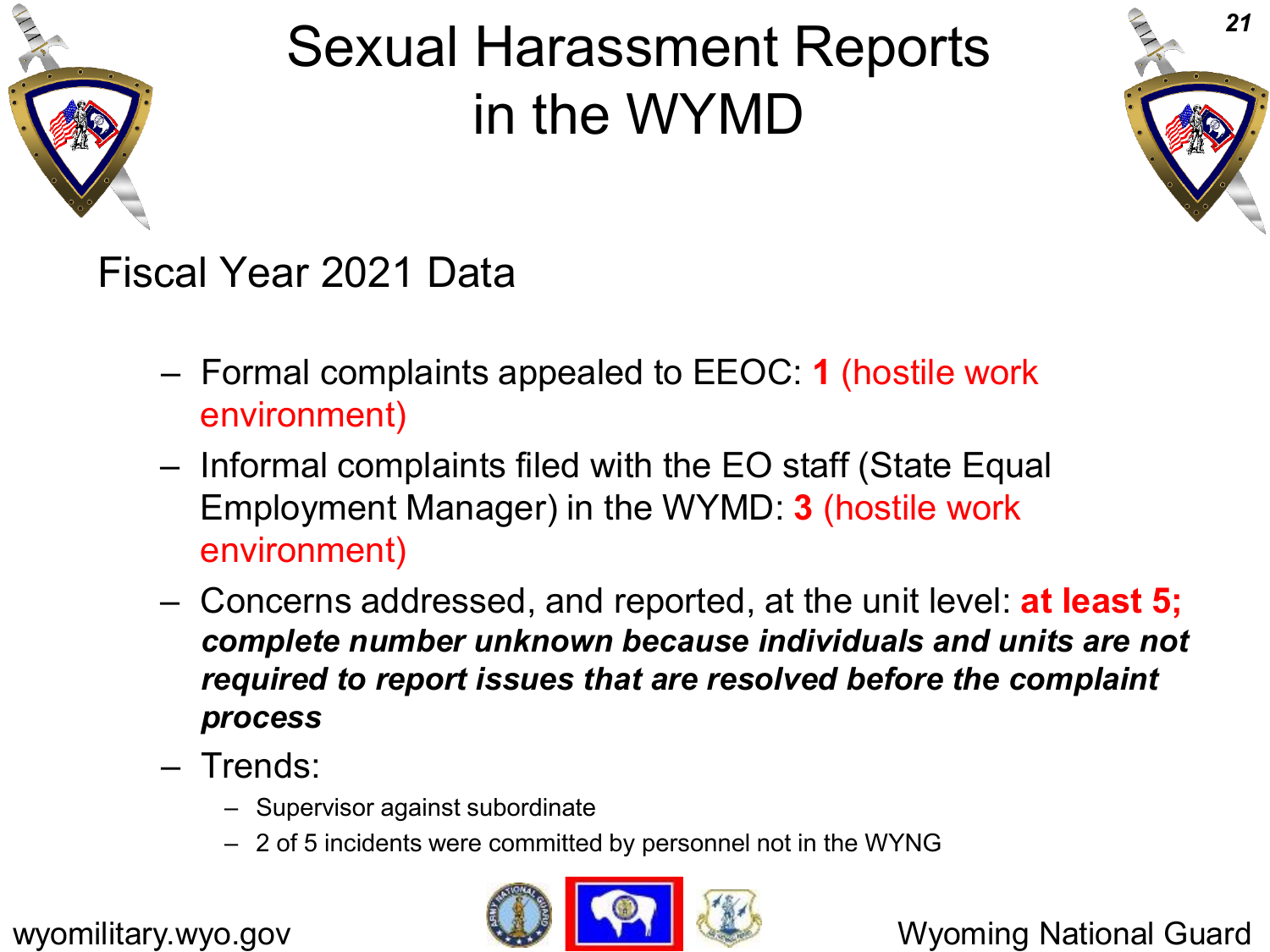

# Sexual Harassment Reports in the WYMD



#### Fiscal Year 2021 Data

- Formal complaints appealed to EEOC: **1** (hostile work environment)
- Informal complaints filed with the EO staff (State Equal Employment Manager) in the WYMD: **3** (hostile work environment)
- Concerns addressed, and reported, at the unit level: **at least 5;**  *complete number unknown because individuals and units are not required to report issues that are resolved before the complaint process*
- Trends:
	- Supervisor against subordinate
	- 2 of 5 incidents were committed by personnel not in the WYNG

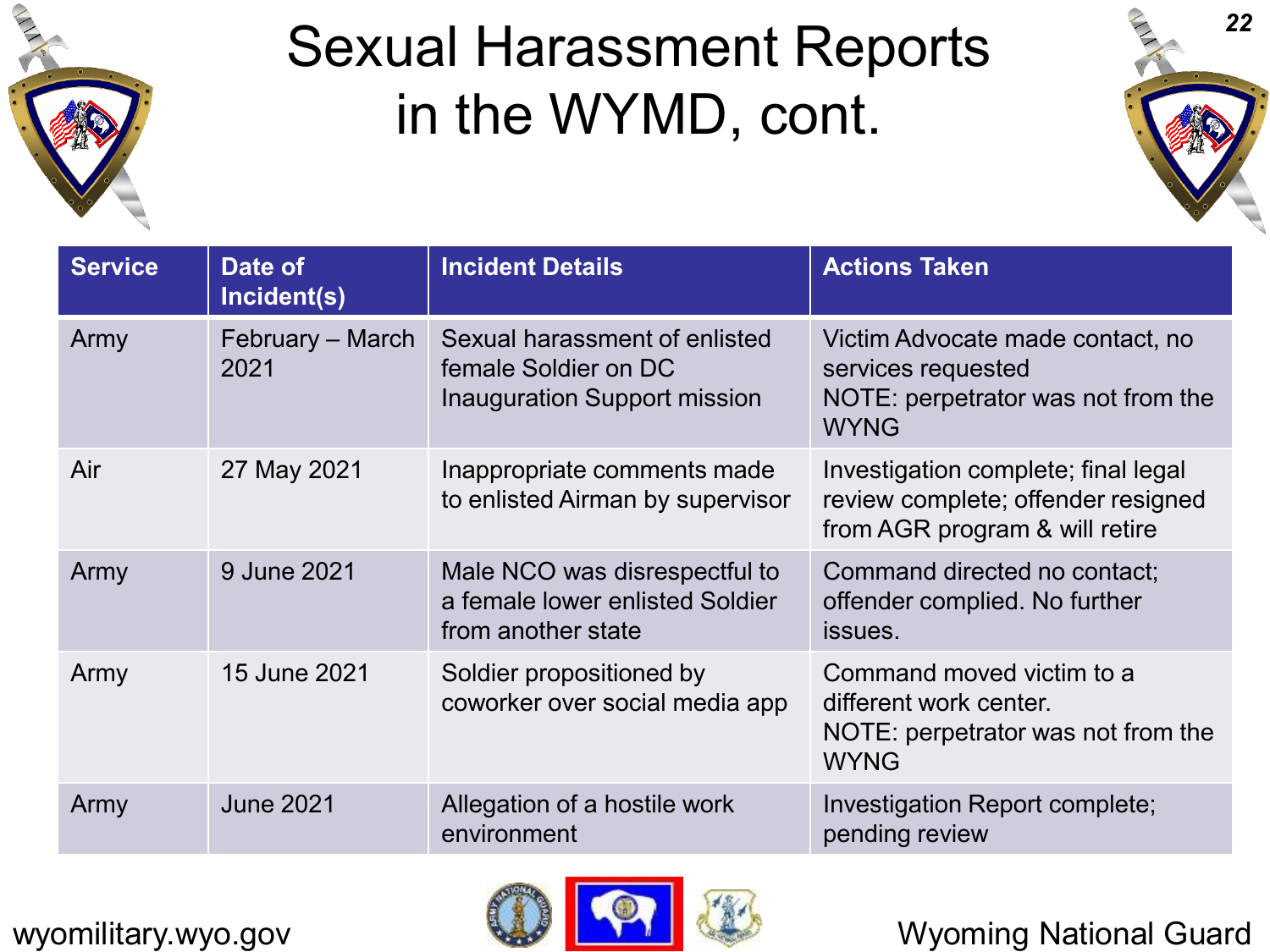

### Sexual Harassment Reports in the WYMD, cont.



| <b>Service</b> | Date of<br>Incident(s)   | <b>Incident Details</b>                                                                | <b>Actions Taken</b>                                                                                        |
|----------------|--------------------------|----------------------------------------------------------------------------------------|-------------------------------------------------------------------------------------------------------------|
| Army           | February - March<br>2021 | Sexual harassment of enlisted<br>female Soldier on DC<br>Inauguration Support mission  | Victim Advocate made contact, no<br>services requested<br>NOTE: perpetrator was not from the<br><b>WYNG</b> |
| Air            | 27 May 2021              | Inappropriate comments made<br>to enlisted Airman by supervisor                        | Investigation complete; final legal<br>review complete; offender resigned<br>from AGR program & will retire |
| Army           | 9 June 2021              | Male NCO was disrespectful to<br>a female lower enlisted Soldier<br>from another state | Command directed no contact;<br>offender complied. No further<br>issues.                                    |
| Army           | 15 June 2021             | Soldier propositioned by<br>coworker over social media app                             | Command moved victim to a<br>different work center.<br>NOTE: perpetrator was not from the<br><b>WYNG</b>    |
| Army           | <b>June 2021</b>         | Allegation of a hostile work<br>environment                                            | Investigation Report complete;<br>pending review                                                            |

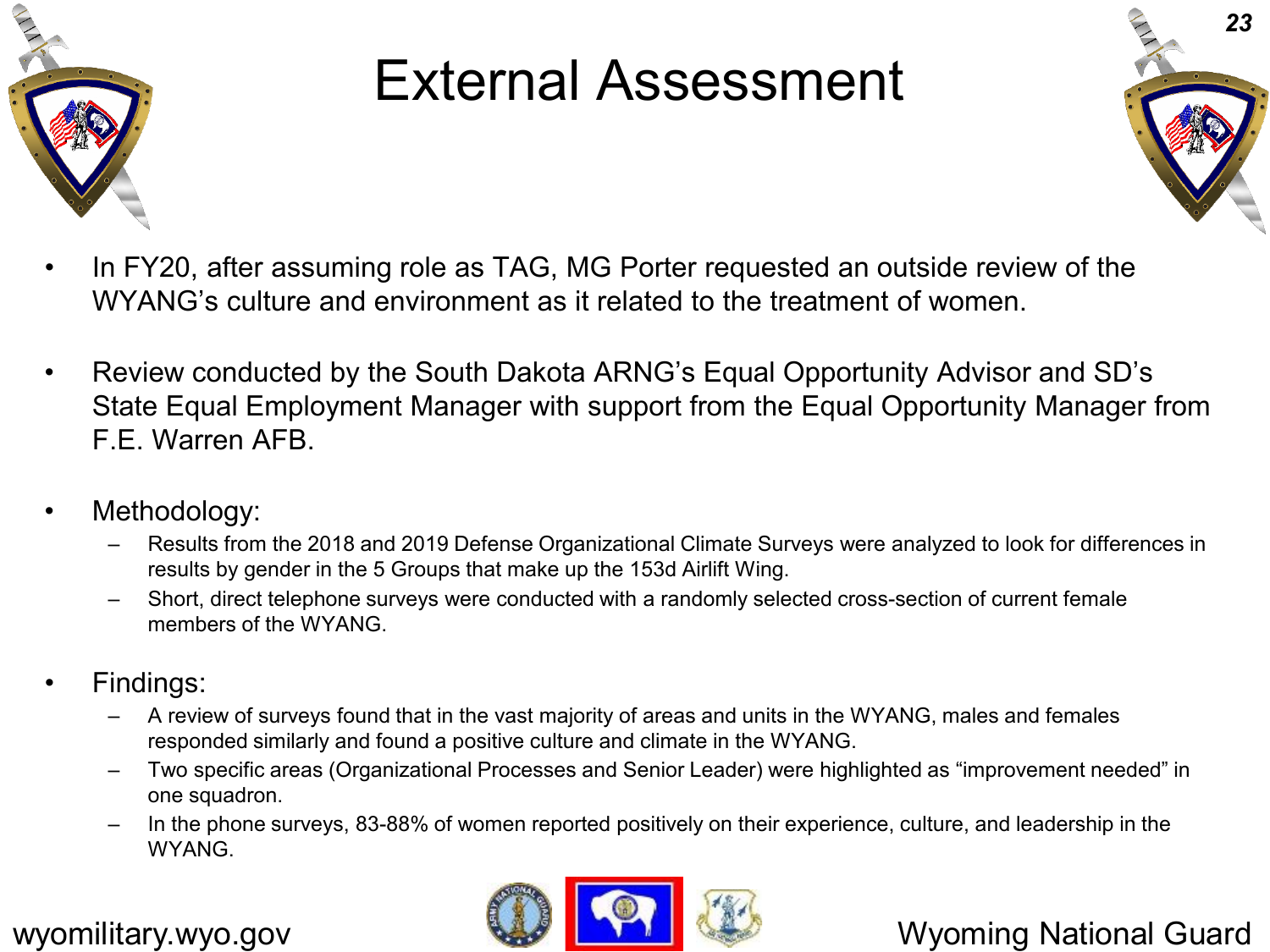

#### External Assessment



- In FY20, after assuming role as TAG, MG Porter requested an outside review of the WYANG's culture and environment as it related to the treatment of women.
- Review conducted by the South Dakota ARNG's Equal Opportunity Advisor and SD's State Equal Employment Manager with support from the Equal Opportunity Manager from F.F. Warren AFB.
- Methodology:
	- Results from the 2018 and 2019 Defense Organizational Climate Surveys were analyzed to look for differences in results by gender in the 5 Groups that make up the 153d Airlift Wing.
	- Short, direct telephone surveys were conducted with a randomly selected cross-section of current female members of the WYANG.
- Findings:
	- A review of surveys found that in the vast majority of areas and units in the WYANG, males and females responded similarly and found a positive culture and climate in the WYANG.
	- Two specific areas (Organizational Processes and Senior Leader) were highlighted as "improvement needed" in one squadron.
	- In the phone surveys, 83-88% of women reported positively on their experience, culture, and leadership in the WYANG.



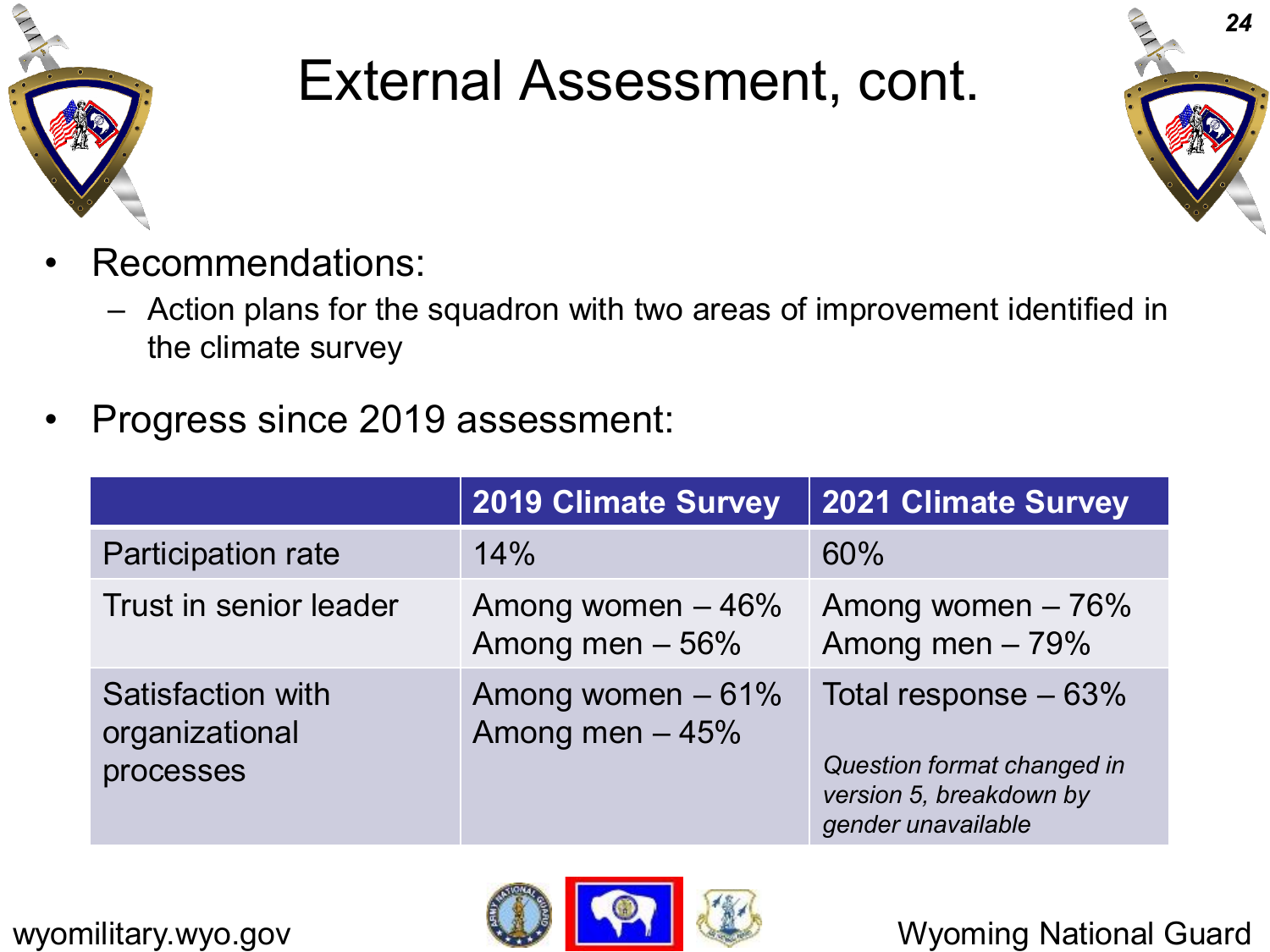

#### External Assessment, cont.



- Recommendations:
	- Action plans for the squadron with two areas of improvement identified in the climate survey
- Progress since 2019 assessment:

|                                                  | <b>2019 Climate Survey</b>            | <b>2021 Climate Survey</b>                                                                           |
|--------------------------------------------------|---------------------------------------|------------------------------------------------------------------------------------------------------|
| <b>Participation rate</b>                        | 14%                                   | 60%                                                                                                  |
| Trust in senior leader                           | Among women $-46%$<br>Among men - 56% | Among women $-76%$<br>Among men $-79%$                                                               |
| Satisfaction with<br>organizational<br>processes | Among women - 61%<br>Among men $-45%$ | Total response $-63%$<br>Question format changed in<br>version 5, breakdown by<br>gender unavailable |



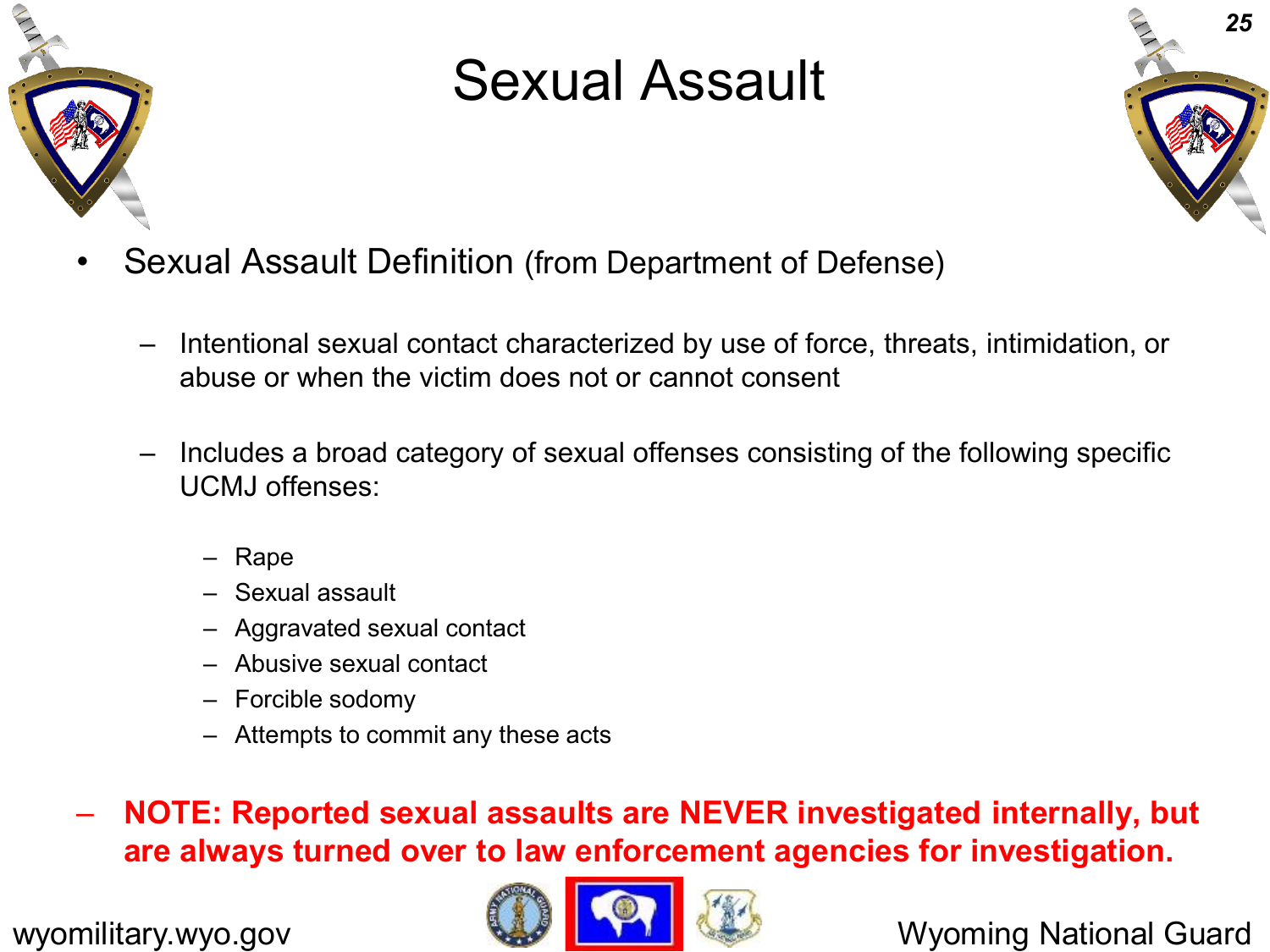

### Sexual Assault



- Sexual Assault Definition (from Department of Defense)
	- Intentional sexual contact characterized by use of force, threats, intimidation, or abuse or when the victim does not or cannot consent
	- Includes a broad category of sexual offenses consisting of the following specific UCMJ offenses:
		- Rape
		- Sexual assault
		- Aggravated sexual contact
		- Abusive sexual contact
		- Forcible sodomy
		- Attempts to commit any these acts

– **NOTE: Reported sexual assaults are NEVER investigated internally, but are always turned over to law enforcement agencies for investigation.**

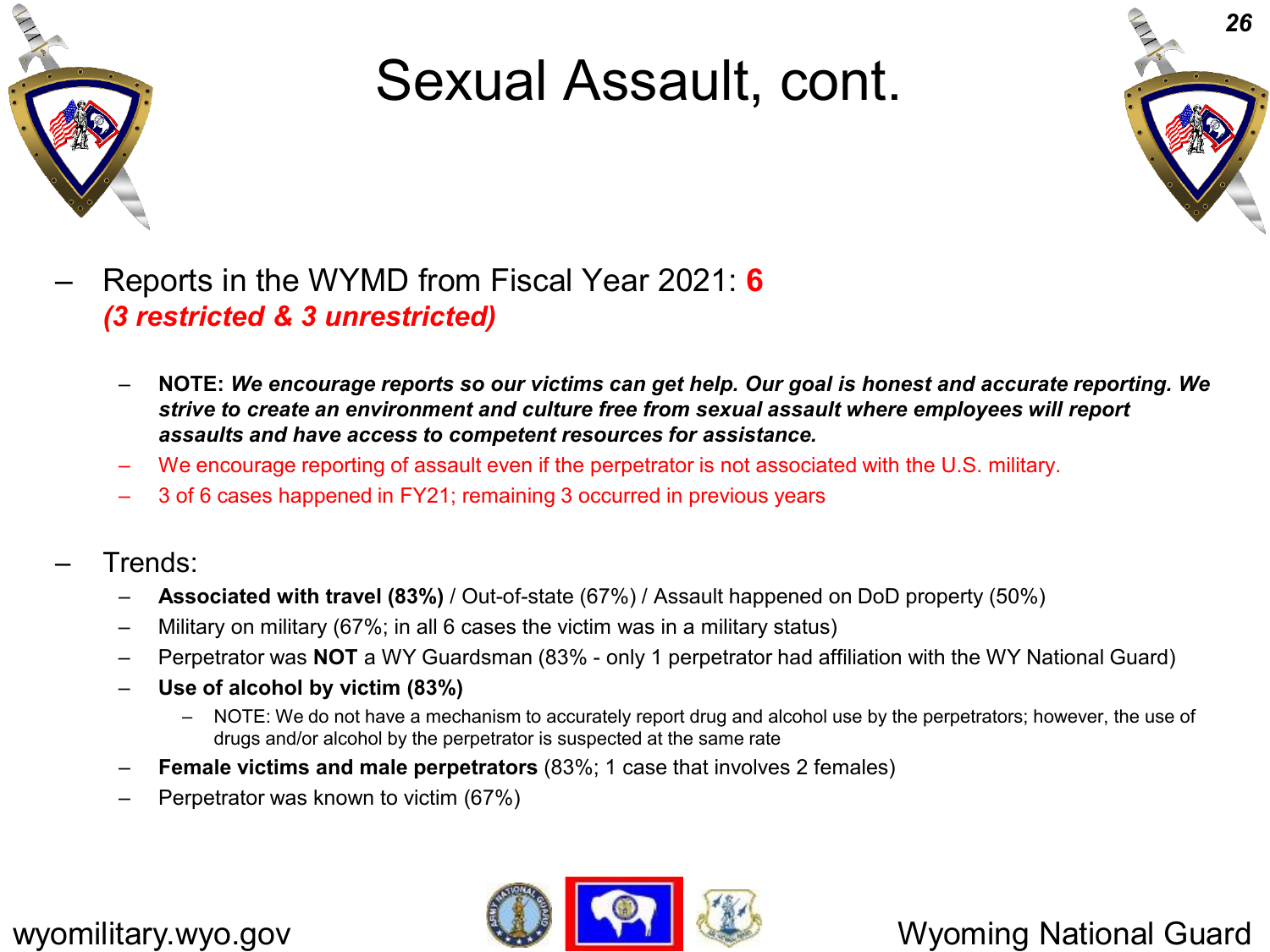

#### Sexual Assault, cont.



- Reports in the WYMD from Fiscal Year 2021: **6**  *(3 restricted & 3 unrestricted)*
	- **NOTE:** *We encourage reports so our victims can get help. Our goal is honest and accurate reporting. We strive to create an environment and culture free from sexual assault where employees will report assaults and have access to competent resources for assistance.*
	- We encourage reporting of assault even if the perpetrator is not associated with the U.S. military.
	- 3 of 6 cases happened in FY21; remaining 3 occurred in previous years
- Trends:
	- **Associated with travel (83%)** / Out-of-state (67%) / Assault happened on DoD property (50%)
	- Military on military (67%; in all 6 cases the victim was in a military status)
	- Perpetrator was **NOT** a WY Guardsman (83% only 1 perpetrator had affiliation with the WY National Guard)
	- **Use of alcohol by victim (83%)**
		- NOTE: We do not have a mechanism to accurately report drug and alcohol use by the perpetrators; however, the use of drugs and/or alcohol by the perpetrator is suspected at the same rate
	- **Female victims and male perpetrators** (83%; 1 case that involves 2 females)
	- Perpetrator was known to victim (67%)

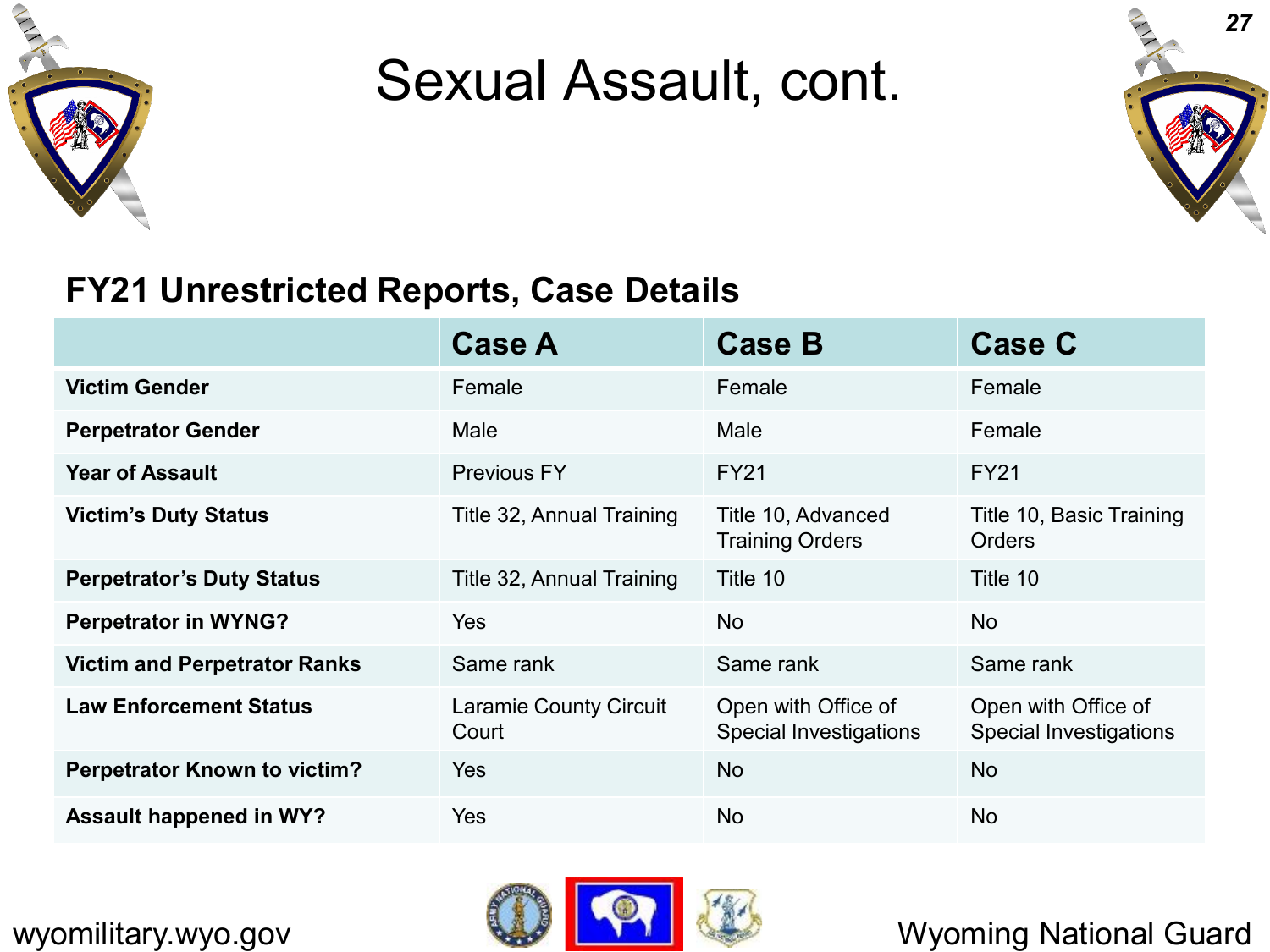

#### Sexual Assault, cont.



#### **FY21 Unrestricted Reports, Case Details**

|                                     | <b>Case A</b>                          | <b>Case B</b>                                        | <b>Case C</b>                                        |
|-------------------------------------|----------------------------------------|------------------------------------------------------|------------------------------------------------------|
| <b>Victim Gender</b>                | Female                                 | Female                                               | Female                                               |
| <b>Perpetrator Gender</b>           | Male                                   | Male                                                 | Female                                               |
| <b>Year of Assault</b>              | <b>Previous FY</b>                     | <b>FY21</b>                                          | <b>FY21</b>                                          |
| <b>Victim's Duty Status</b>         | Title 32, Annual Training              | Title 10, Advanced<br><b>Training Orders</b>         | Title 10, Basic Training<br><b>Orders</b>            |
| <b>Perpetrator's Duty Status</b>    | Title 32, Annual Training              | Title 10                                             | Title 10                                             |
| <b>Perpetrator in WYNG?</b>         | Yes                                    | <b>No</b>                                            | No.                                                  |
| <b>Victim and Perpetrator Ranks</b> | Same rank                              | Same rank                                            | Same rank                                            |
| <b>Law Enforcement Status</b>       | <b>Laramie County Circuit</b><br>Court | Open with Office of<br><b>Special Investigations</b> | Open with Office of<br><b>Special Investigations</b> |
| <b>Perpetrator Known to victim?</b> | Yes                                    | <b>No</b>                                            | <b>No</b>                                            |
| <b>Assault happened in WY?</b>      | <b>Yes</b>                             | No                                                   | <b>No</b>                                            |

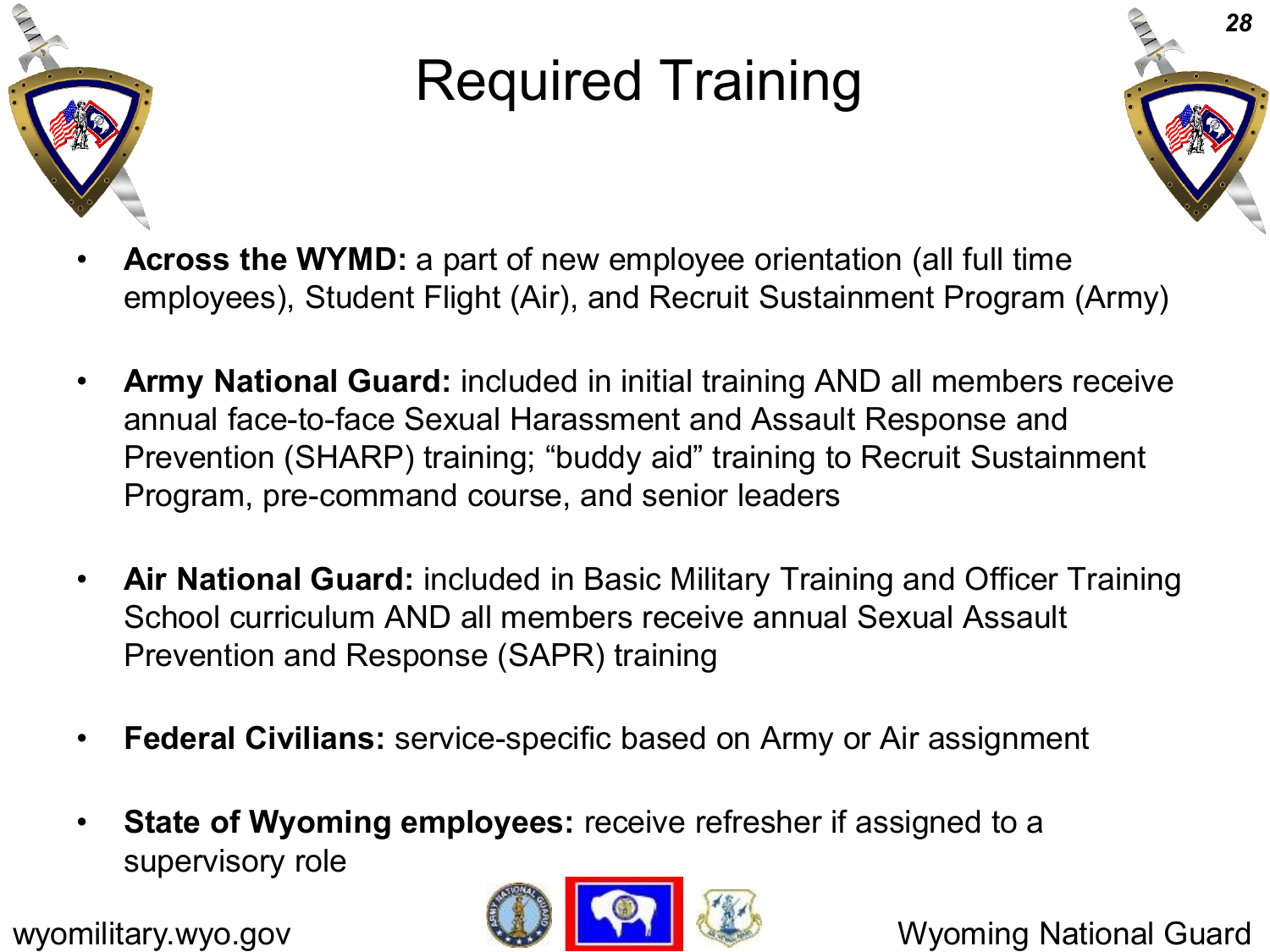

# Required Training



- **Across the WYMD:** a part of new employee orientation (all full time employees), Student Flight (Air), and Recruit Sustainment Program (Army)
- **Army National Guard:** included in initial training AND all members receive annual face-to-face Sexual Harassment and Assault Response and Prevention (SHARP) training; "buddy aid" training to Recruit Sustainment Program, pre-command course, and senior leaders
- **Air National Guard:** included in Basic Military Training and Officer Training School curriculum AND all members receive annual Sexual Assault Prevention and Response (SAPR) training
- **Federal Civilians:** service-specific based on Army or Air assignment
- **State of Wyoming employees:** receive refresher if assigned to a supervisory role

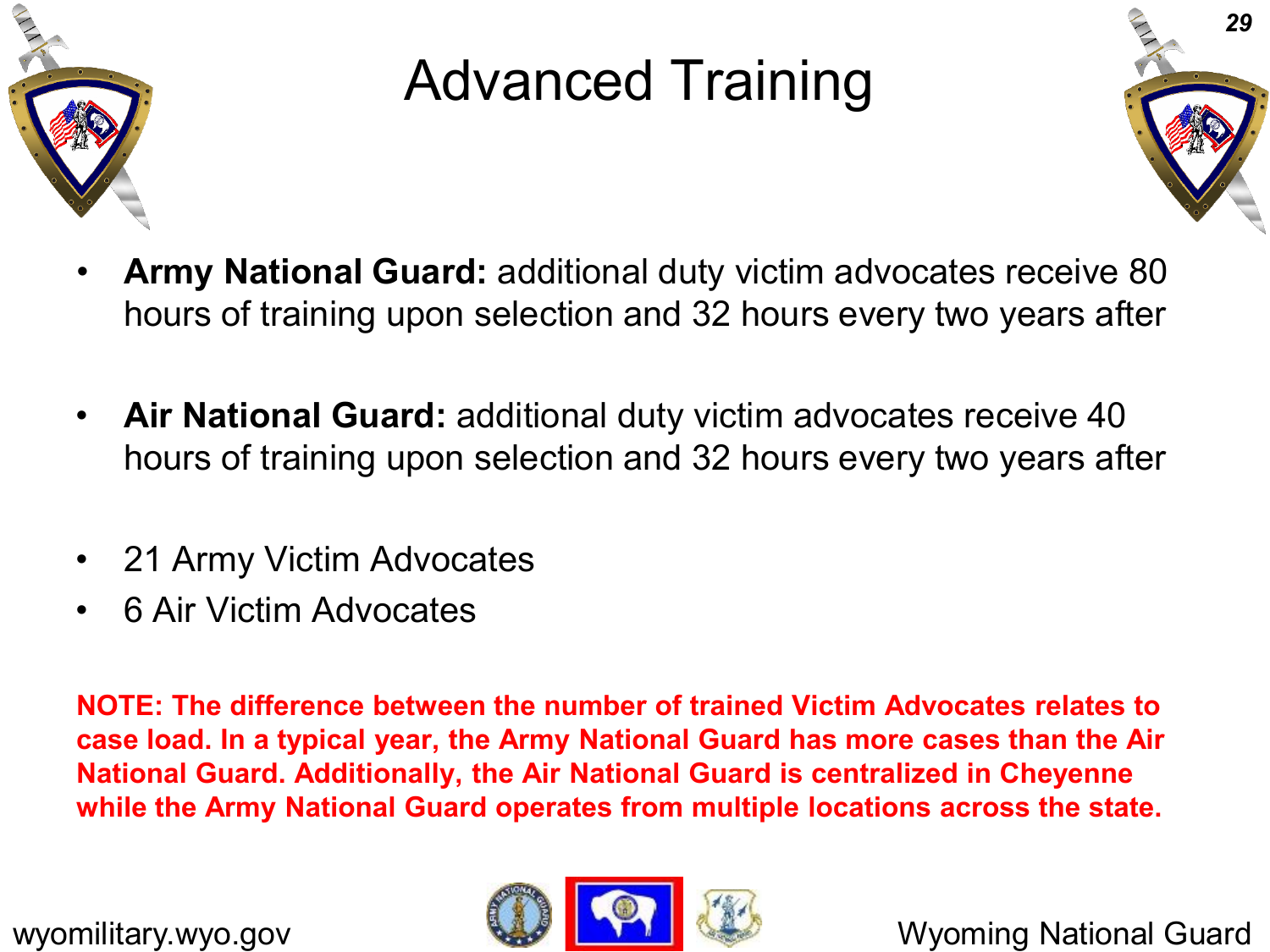

## Advanced Training



- **Army National Guard:** additional duty victim advocates receive 80 hours of training upon selection and 32 hours every two years after
- **Air National Guard:** additional duty victim advocates receive 40 hours of training upon selection and 32 hours every two years after
- 21 Army Victim Advocates
- 6 Air Victim Advocates

**NOTE: The difference between the number of trained Victim Advocates relates to case load. In a typical year, the Army National Guard has more cases than the Air National Guard. Additionally, the Air National Guard is centralized in Cheyenne while the Army National Guard operates from multiple locations across the state.**

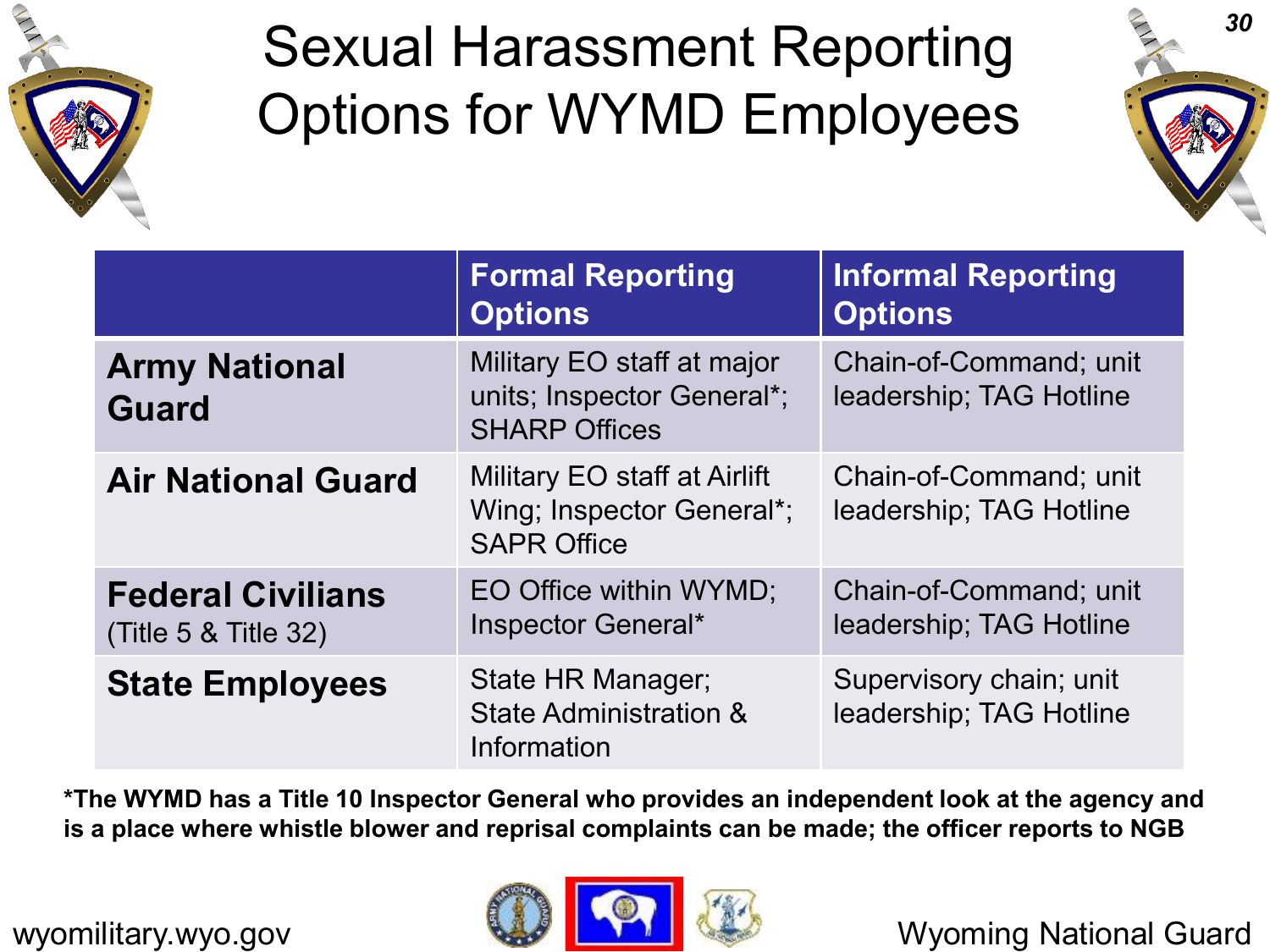

## Sexual Harassment Reporting Options for WYMD Employees



|                                                  | <b>Formal Reporting</b><br><b>Options</b>                                        | <b>Informal Reporting</b><br><b>Options</b>        |
|--------------------------------------------------|----------------------------------------------------------------------------------|----------------------------------------------------|
| <b>Army National</b><br><b>Guard</b>             | Military EO staff at major<br>units; Inspector General*;<br><b>SHARP Offices</b> | Chain-of-Command; unit<br>leadership; TAG Hotline  |
| <b>Air National Guard</b>                        | Military EO staff at Airlift<br>Wing; Inspector General*;<br><b>SAPR Office</b>  | Chain-of-Command; unit<br>leadership; TAG Hotline  |
| <b>Federal Civilians</b><br>(Title 5 & Title 32) | EO Office within WYMD;<br>Inspector General*                                     | Chain-of-Command; unit<br>leadership; TAG Hotline  |
| <b>State Employees</b>                           | State HR Manager;<br><b>State Administration &amp;</b><br>Information            | Supervisory chain; unit<br>leadership; TAG Hotline |

**\*The WYMD has a Title 10 Inspector General who provides an independent look at the agency and is a place where whistle blower and reprisal complaints can be made; the officer reports to NGB**

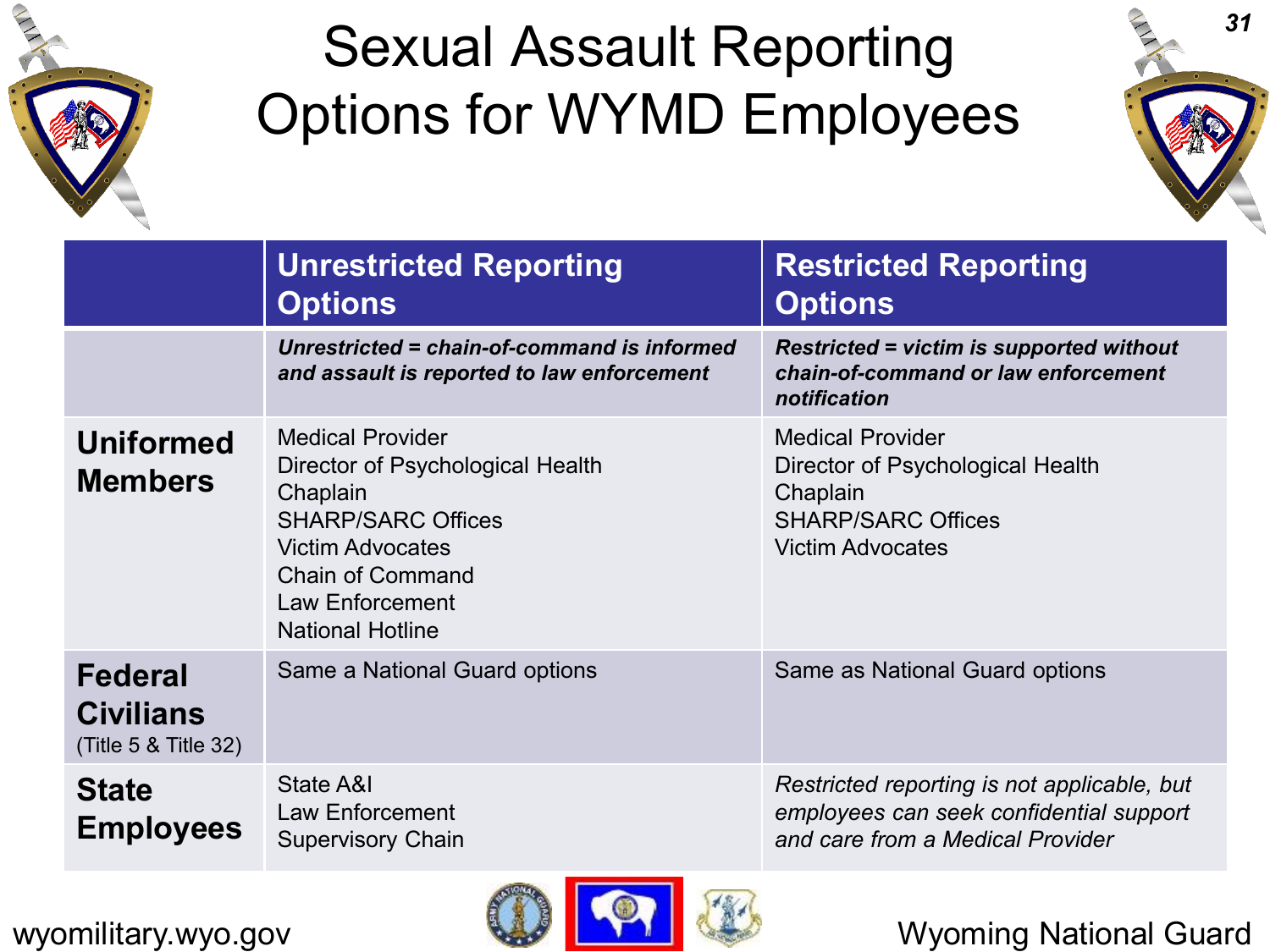

## Sexual Assault Reporting Options for WYMD Employees



|                                                            | <b>Unrestricted Reporting</b><br><b>Options</b>                                                                                                                                                          | <b>Restricted Reporting</b><br><b>Options</b>                                                                                   |
|------------------------------------------------------------|----------------------------------------------------------------------------------------------------------------------------------------------------------------------------------------------------------|---------------------------------------------------------------------------------------------------------------------------------|
|                                                            | Unrestricted = chain-of-command is informed<br>and assault is reported to law enforcement                                                                                                                | <b>Restricted = victim is supported without</b><br>chain-of-command or law enforcement<br>notification                          |
| <b>Uniformed</b><br><b>Members</b>                         | <b>Medical Provider</b><br>Director of Psychological Health<br>Chaplain<br><b>SHARP/SARC Offices</b><br><b>Victim Advocates</b><br><b>Chain of Command</b><br>Law Enforcement<br><b>National Hotline</b> | <b>Medical Provider</b><br>Director of Psychological Health<br>Chaplain<br><b>SHARP/SARC Offices</b><br><b>Victim Advocates</b> |
| <b>Federal</b><br><b>Civilians</b><br>(Title 5 & Title 32) | Same a National Guard options                                                                                                                                                                            | Same as National Guard options                                                                                                  |
| <b>State</b><br><b>Employees</b>                           | State A&I<br>Law Enforcement<br><b>Supervisory Chain</b>                                                                                                                                                 | Restricted reporting is not applicable, but<br>employees can seek confidential support<br>and care from a Medical Provider      |

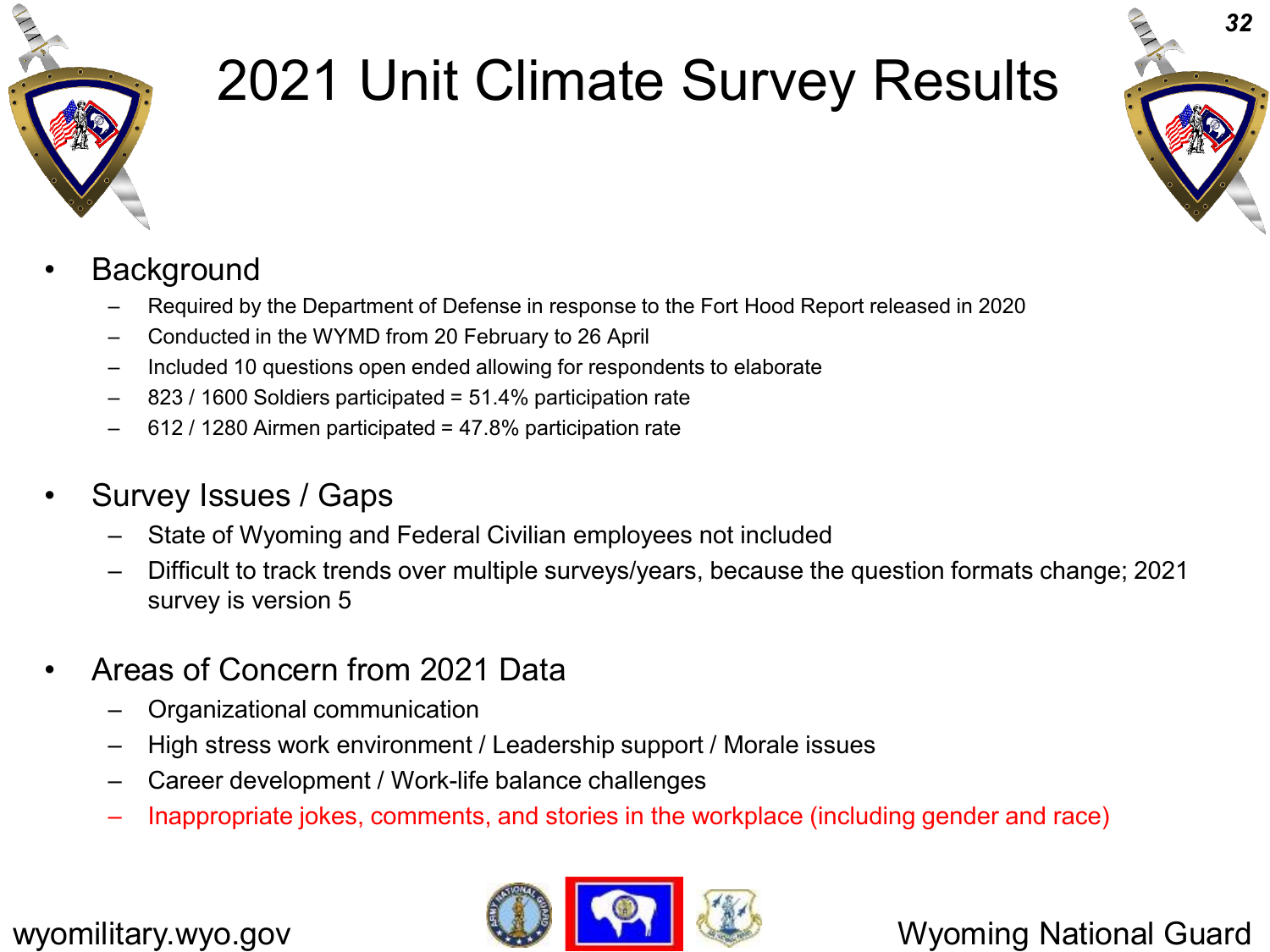

# 2021 Unit Climate Survey Results



#### **Background**

- Required by the Department of Defense in response to the Fort Hood Report released in 2020
- Conducted in the WYMD from 20 February to 26 April
- Included 10 questions open ended allowing for respondents to elaborate
- 823 / 1600 Soldiers participated = 51.4% participation rate
- 612 / 1280 Airmen participated = 47.8% participation rate
- Survey Issues / Gaps
	- State of Wyoming and Federal Civilian employees not included
	- Difficult to track trends over multiple surveys/years, because the question formats change; 2021 survey is version 5
- Areas of Concern from 2021 Data
	- Organizational communication
	- High stress work environment / Leadership support / Morale issues
	- Career development / Work-life balance challenges
	- Inappropriate jokes, comments, and stories in the workplace (including gender and race)

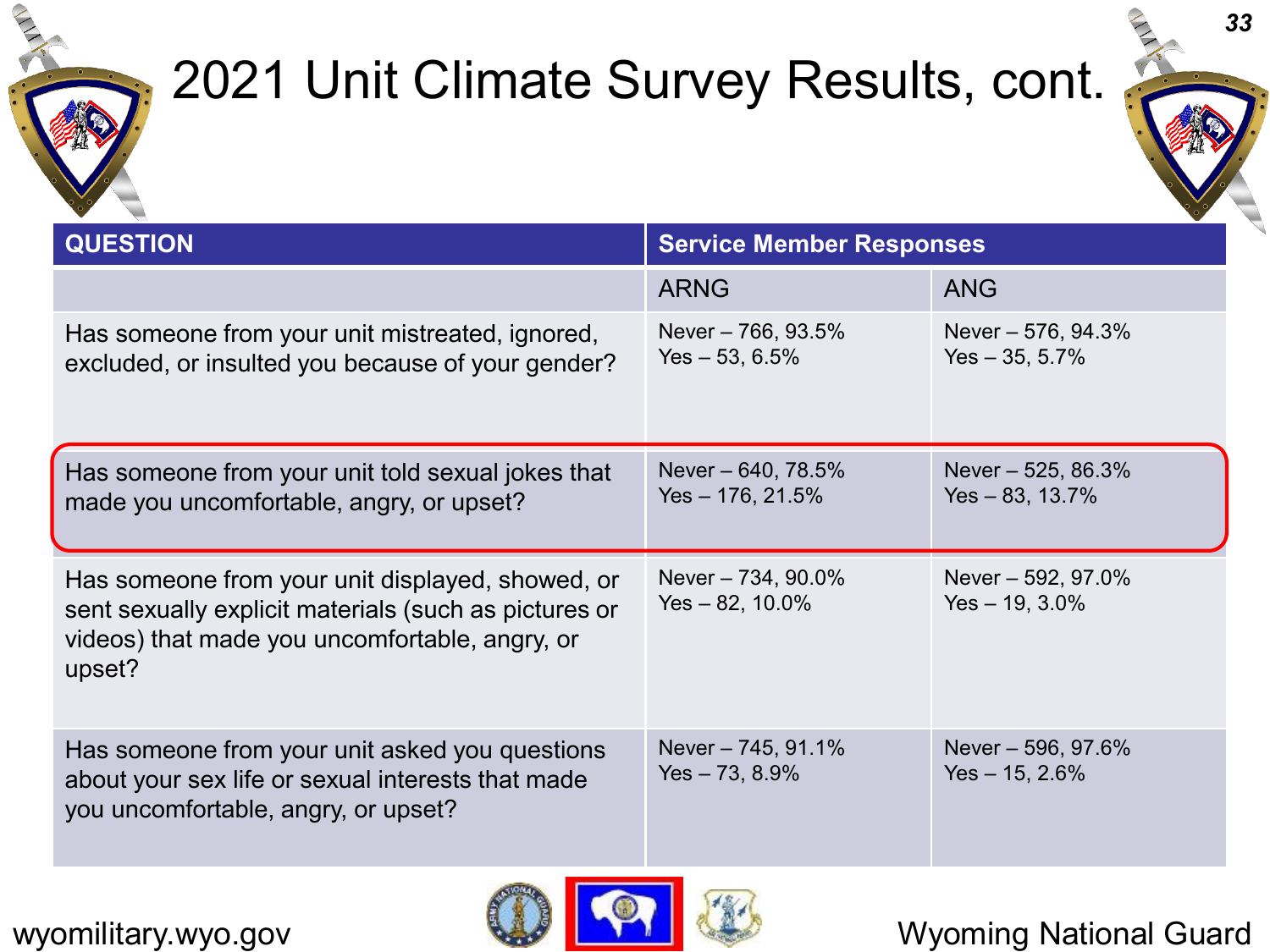

### 2021 Unit Climate Survey Results, cont.



| <b>QUESTION</b>                                                                                                                                                       | <b>Service Member Responses</b>         |                                          |  |
|-----------------------------------------------------------------------------------------------------------------------------------------------------------------------|-----------------------------------------|------------------------------------------|--|
|                                                                                                                                                                       | <b>ARNG</b>                             | <b>ANG</b>                               |  |
| Has someone from your unit mistreated, ignored,<br>excluded, or insulted you because of your gender?                                                                  | Never – 766, 93.5%<br>$Yes - 53, 6.5\%$ | Never $-576, 94.3%$<br>$Yes - 35, 5.7\%$ |  |
| Has someone from your unit told sexual jokes that<br>made you uncomfortable, angry, or upset?                                                                         | Never – 640, 78.5%<br>Yes $-176, 21.5%$ | Never - 525, 86.3%<br>$Yes - 83, 13.7\%$ |  |
| Has someone from your unit displayed, showed, or<br>sent sexually explicit materials (such as pictures or<br>videos) that made you uncomfortable, angry, or<br>upset? | Never - 734, 90.0%<br>Yes - 82, 10.0%   | Never - 592, 97.0%<br>$Yes - 19, 3.0\%$  |  |
| Has someone from your unit asked you questions<br>about your sex life or sexual interests that made<br>you uncomfortable, angry, or upset?                            | Never - 745, 91.1%<br>Yes – 73, 8.9%    | Never - 596, 97.6%<br>Yes $-15, 2.6%$    |  |



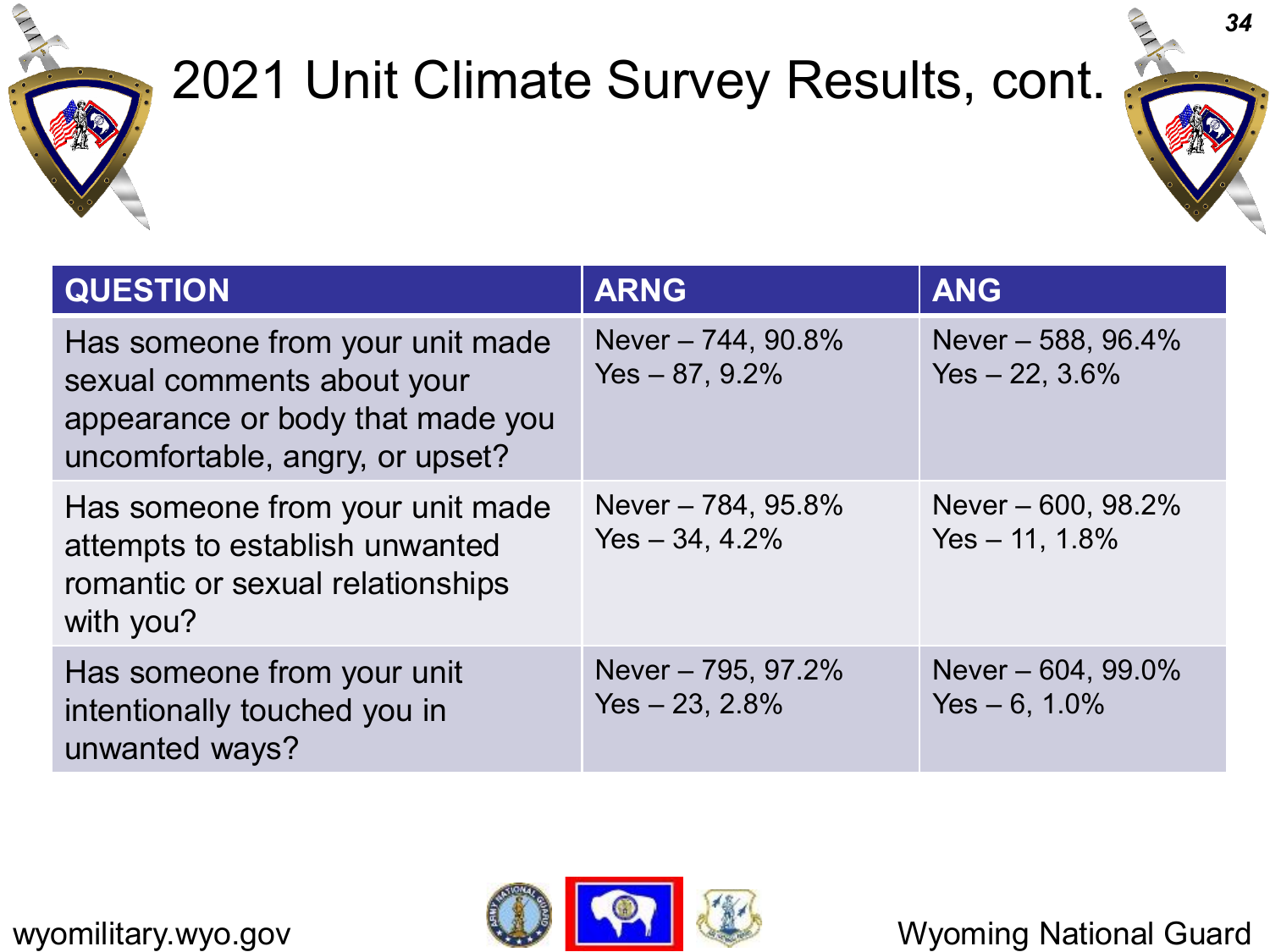

### 2021 Unit Climate Survey Results, cont.



| <b>QUESTION</b>                                                                                                                      | <b>ARNG</b>                             | <b>ANG</b>                               |
|--------------------------------------------------------------------------------------------------------------------------------------|-----------------------------------------|------------------------------------------|
| Has someone from your unit made<br>sexual comments about your<br>appearance or body that made you<br>uncomfortable, angry, or upset? | Never - 744, 90.8%<br>$Yes - 87, 9.2\%$ | Never - 588, 96.4%<br>$Yes - 22, 3.6\%$  |
| Has someone from your unit made<br>attempts to establish unwanted<br>romantic or sexual relationships<br>with you?                   | Never - 784, 95.8%<br>$Yes - 34, 4.2\%$ | Never $-600, 98.2%$<br>$Yes - 11, 1.8\%$ |
| Has someone from your unit<br>intentionally touched you in<br>unwanted ways?                                                         | Never - 795, 97.2%<br>$Yes - 23, 2.8\%$ | Never - 604, 99.0%<br>Yes $-6$ , 1.0%    |

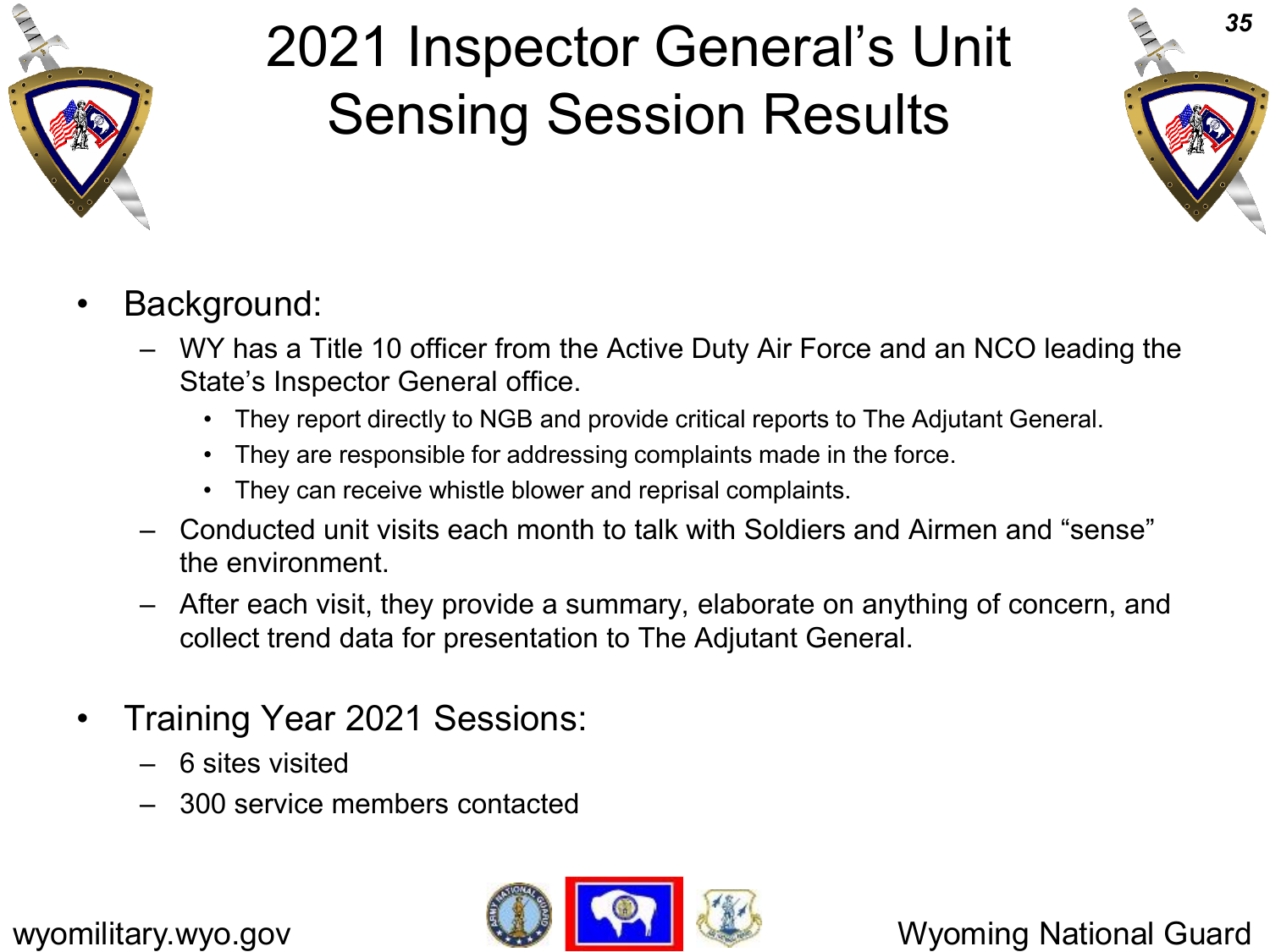

# 2021 Inspector General's Unit Sensing Session Results



- Background:
	- WY has a Title 10 officer from the Active Duty Air Force and an NCO leading the State's Inspector General office.
		- They report directly to NGB and provide critical reports to The Adjutant General.
		- They are responsible for addressing complaints made in the force.
		- They can receive whistle blower and reprisal complaints.
	- Conducted unit visits each month to talk with Soldiers and Airmen and "sense" the environment.
	- After each visit, they provide a summary, elaborate on anything of concern, and collect trend data for presentation to The Adjutant General.
- Training Year 2021 Sessions:
	- 6 sites visited
	- 300 service members contacted

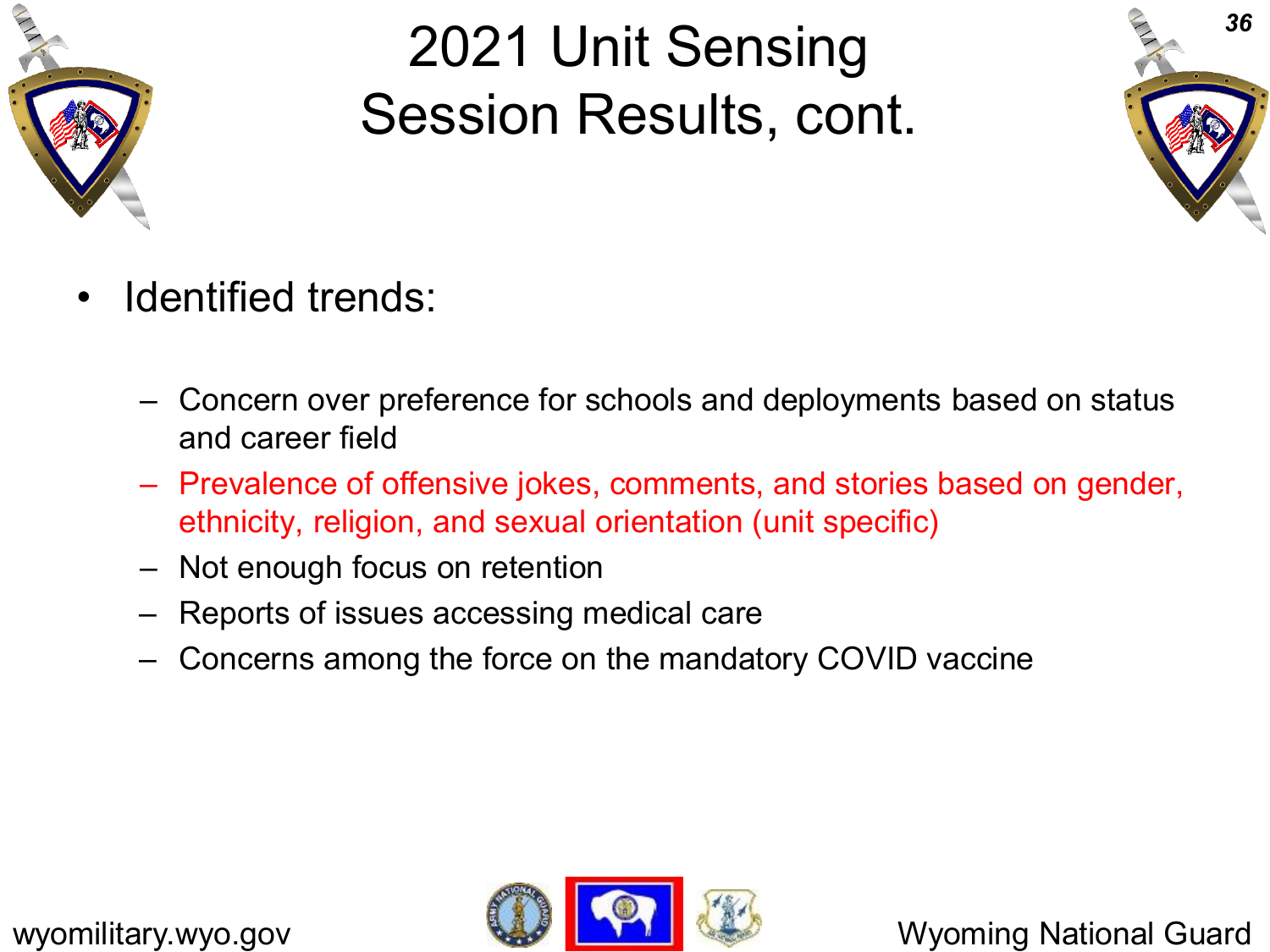

## 2021 Unit Sensing Session Results, cont.



- Identified trends:
	- Concern over preference for schools and deployments based on status and career field
	- Prevalence of offensive jokes, comments, and stories based on gender, ethnicity, religion, and sexual orientation (unit specific)
	- Not enough focus on retention
	- Reports of issues accessing medical care
	- Concerns among the force on the mandatory COVID vaccine

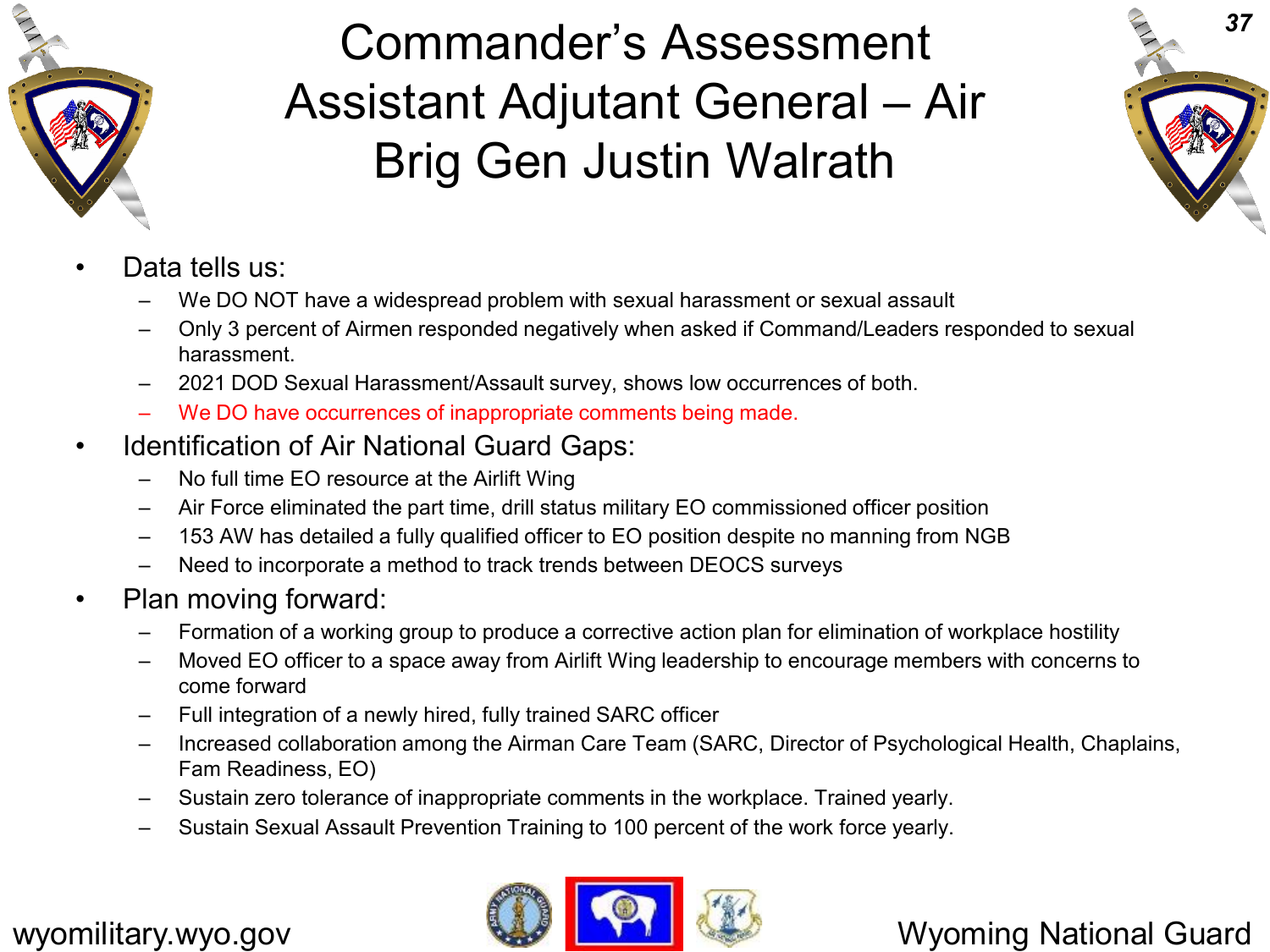

#### Commander's Assessment Assistant Adjutant General – Air Brig Gen Justin Walrath



- Data tells us:
	- We DO NOT have a widespread problem with sexual harassment or sexual assault
	- Only 3 percent of Airmen responded negatively when asked if Command/Leaders responded to sexual harassment.
	- 2021 DOD Sexual Harassment/Assault survey, shows low occurrences of both.
	- We DO have occurrences of inappropriate comments being made.
- Identification of Air National Guard Gaps:
	- No full time EO resource at the Airlift Wing
	- Air Force eliminated the part time, drill status military EO commissioned officer position
	- 153 AW has detailed a fully qualified officer to EO position despite no manning from NGB
	- Need to incorporate a method to track trends between DEOCS surveys
- Plan moving forward:
	- Formation of a working group to produce a corrective action plan for elimination of workplace hostility
	- Moved EO officer to a space away from Airlift Wing leadership to encourage members with concerns to come forward
	- Full integration of a newly hired, fully trained SARC officer
	- Increased collaboration among the Airman Care Team (SARC, Director of Psychological Health, Chaplains, Fam Readiness, EO)
	- Sustain zero tolerance of inappropriate comments in the workplace. Trained yearly.
	- Sustain Sexual Assault Prevention Training to 100 percent of the work force yearly.

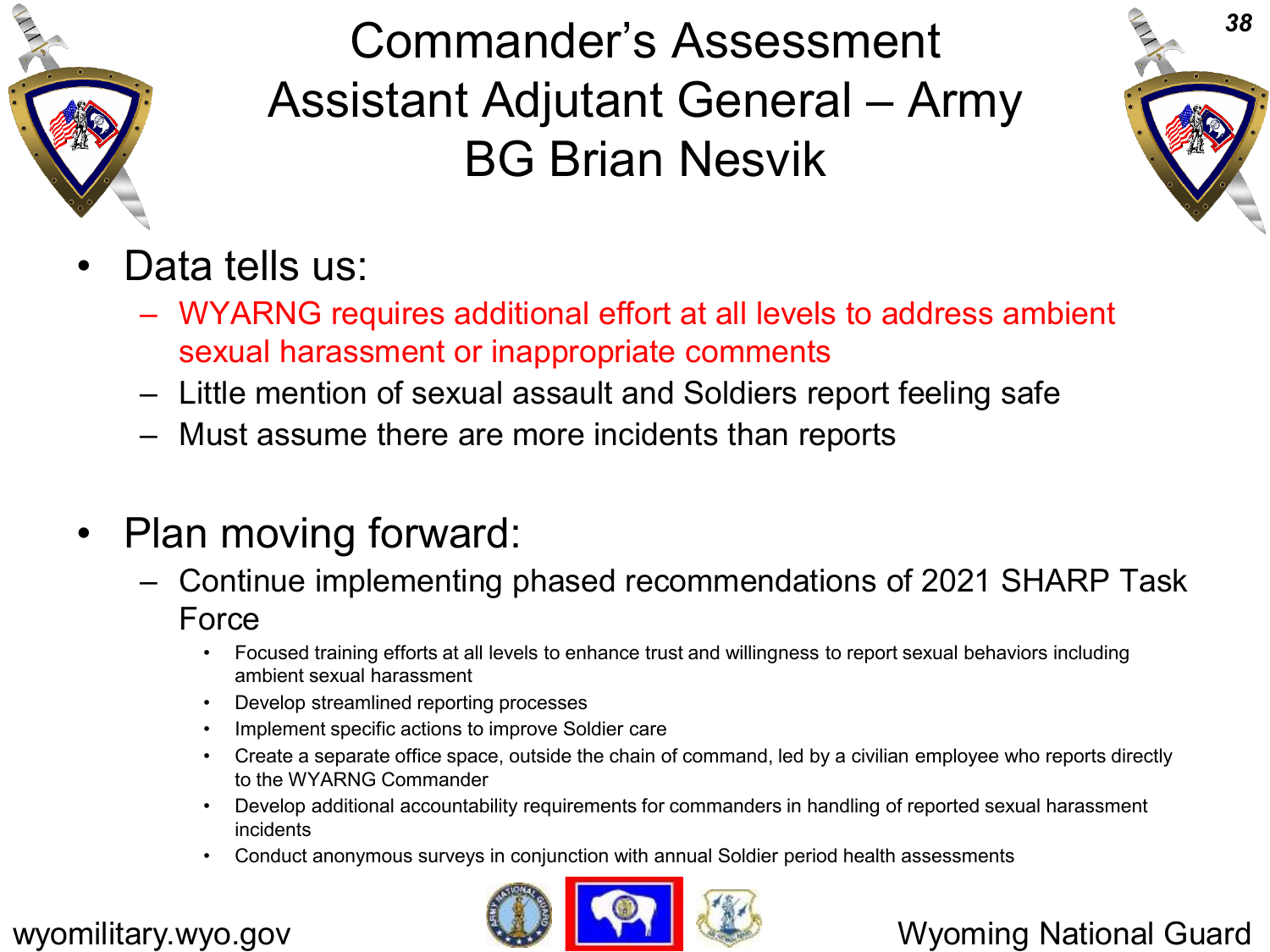

#### Commander's Assessment Assistant Adjutant General – Army BG Brian Nesvik



- Data tells us:
	- WYARNG requires additional effort at all levels to address ambient sexual harassment or inappropriate comments
	- Little mention of sexual assault and Soldiers report feeling safe
	- Must assume there are more incidents than reports
- Plan moving forward:
	- Continue implementing phased recommendations of 2021 SHARP Task Force
		- Focused training efforts at all levels to enhance trust and willingness to report sexual behaviors including ambient sexual harassment
		- Develop streamlined reporting processes
		- Implement specific actions to improve Soldier care
		- Create a separate office space, outside the chain of command, led by a civilian employee who reports directly to the WYARNG Commander
		- Develop additional accountability requirements for commanders in handling of reported sexual harassment incidents
		- Conduct anonymous surveys in conjunction with annual Soldier period health assessments

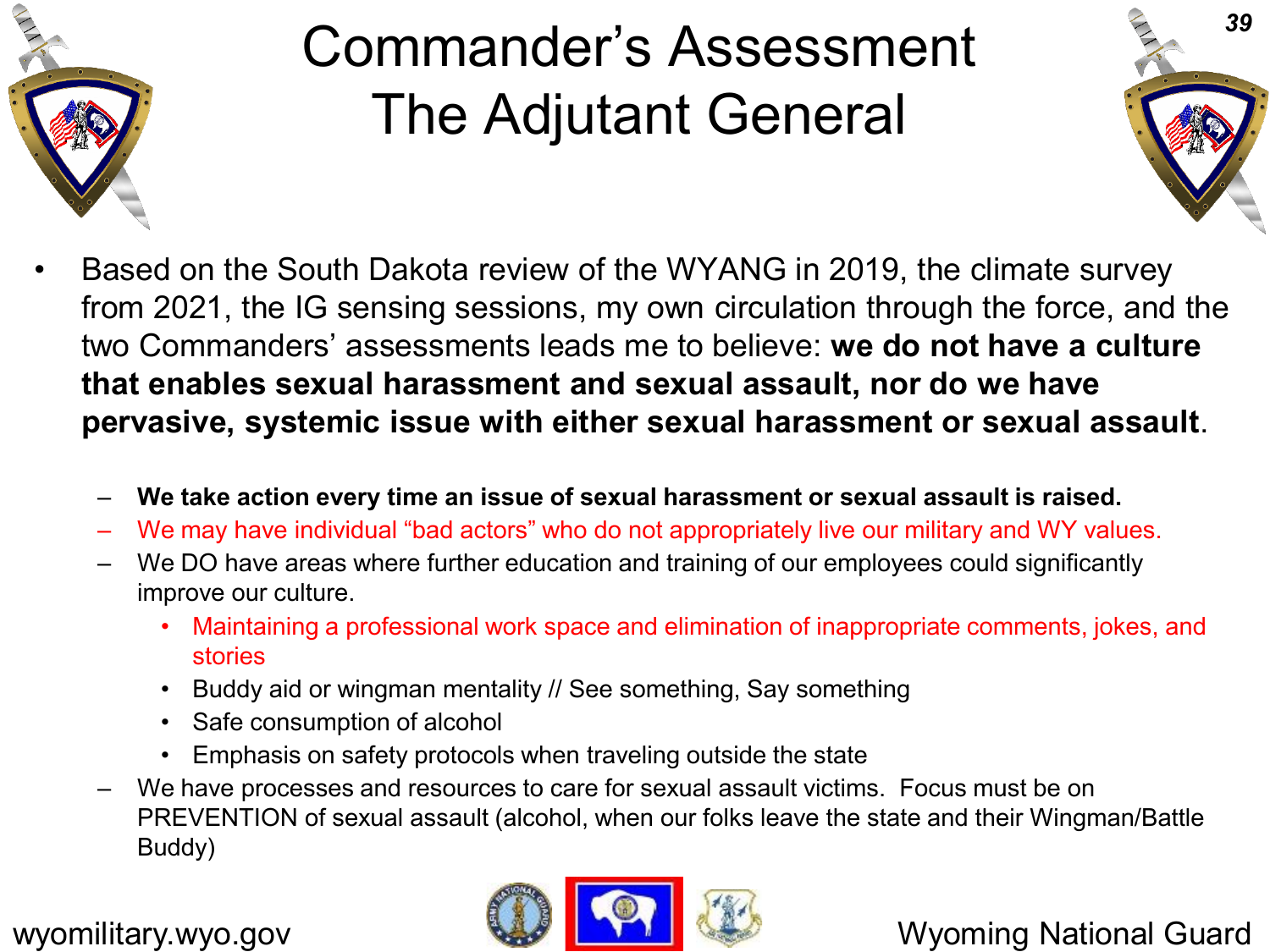

# Commander's Assessment The Adjutant General



- Based on the South Dakota review of the WYANG in 2019, the climate survey from 2021, the IG sensing sessions, my own circulation through the force, and the two Commanders' assessments leads me to believe: **we do not have a culture that enables sexual harassment and sexual assault, nor do we have pervasive, systemic issue with either sexual harassment or sexual assault**.
	- **We take action every time an issue of sexual harassment or sexual assault is raised.**
	- We may have individual "bad actors" who do not appropriately live our military and WY values.
	- We DO have areas where further education and training of our employees could significantly improve our culture.
		- Maintaining a professional work space and elimination of inappropriate comments, jokes, and stories
		- Buddy aid or wingman mentality // See something, Say something
		- Safe consumption of alcohol
		- Emphasis on safety protocols when traveling outside the state
	- We have processes and resources to care for sexual assault victims. Focus must be on PREVENTION of sexual assault (alcohol, when our folks leave the state and their Wingman/Battle Buddy)

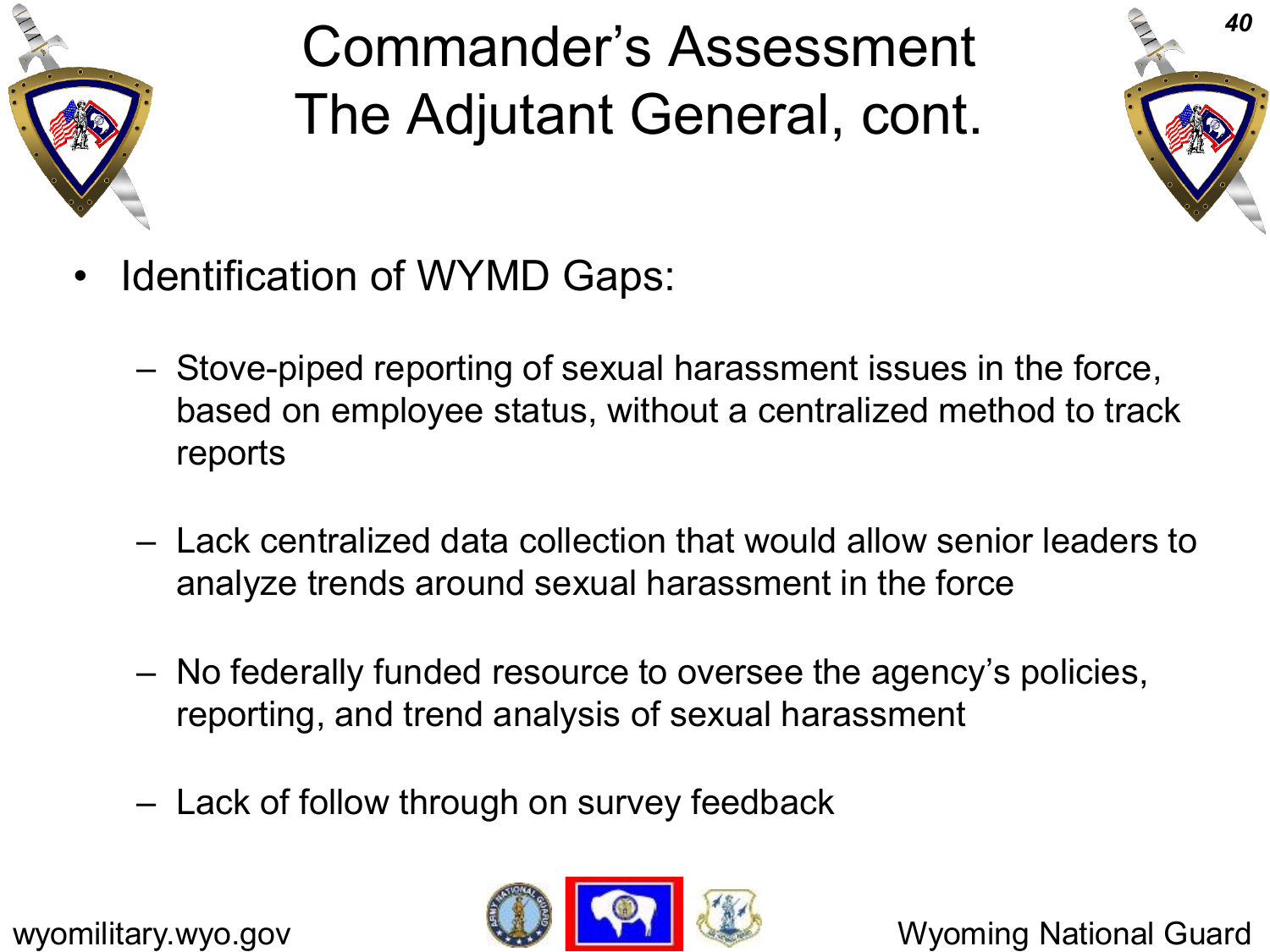

Commander's Assessment The Adjutant General, cont.



- Identification of WYMD Gaps:
	- Stove-piped reporting of sexual harassment issues in the force, based on employee status, without a centralized method to track reports
	- Lack centralized data collection that would allow senior leaders to analyze trends around sexual harassment in the force
	- No federally funded resource to oversee the agency's policies, reporting, and trend analysis of sexual harassment
	- Lack of follow through on survey feedback

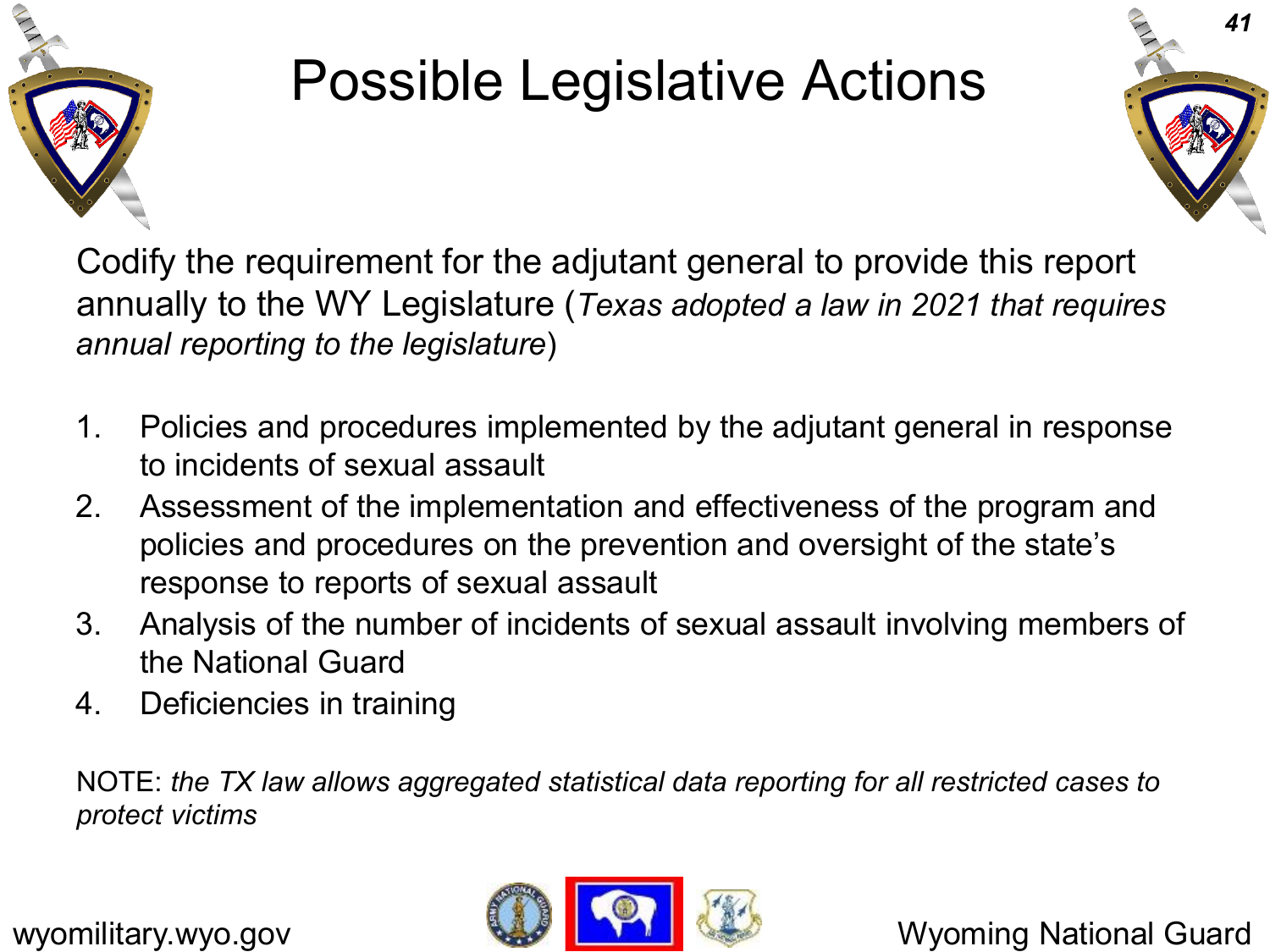

# Possible Legislative Actions



Codify the requirement for the adjutant general to provide this report annually to the WY Legislature (*Texas adopted a law in 2021 that requires annual reporting to the legislature*)

- 1. Policies and procedures implemented by the adjutant general in response to incidents of sexual assault
- 2. Assessment of the implementation and effectiveness of the program and policies and procedures on the prevention and oversight of the state's response to reports of sexual assault
- 3. Analysis of the number of incidents of sexual assault involving members of the National Guard
- 4. Deficiencies in training

NOTE: *the TX law allows aggregated statistical data reporting for all restricted cases to protect victims*